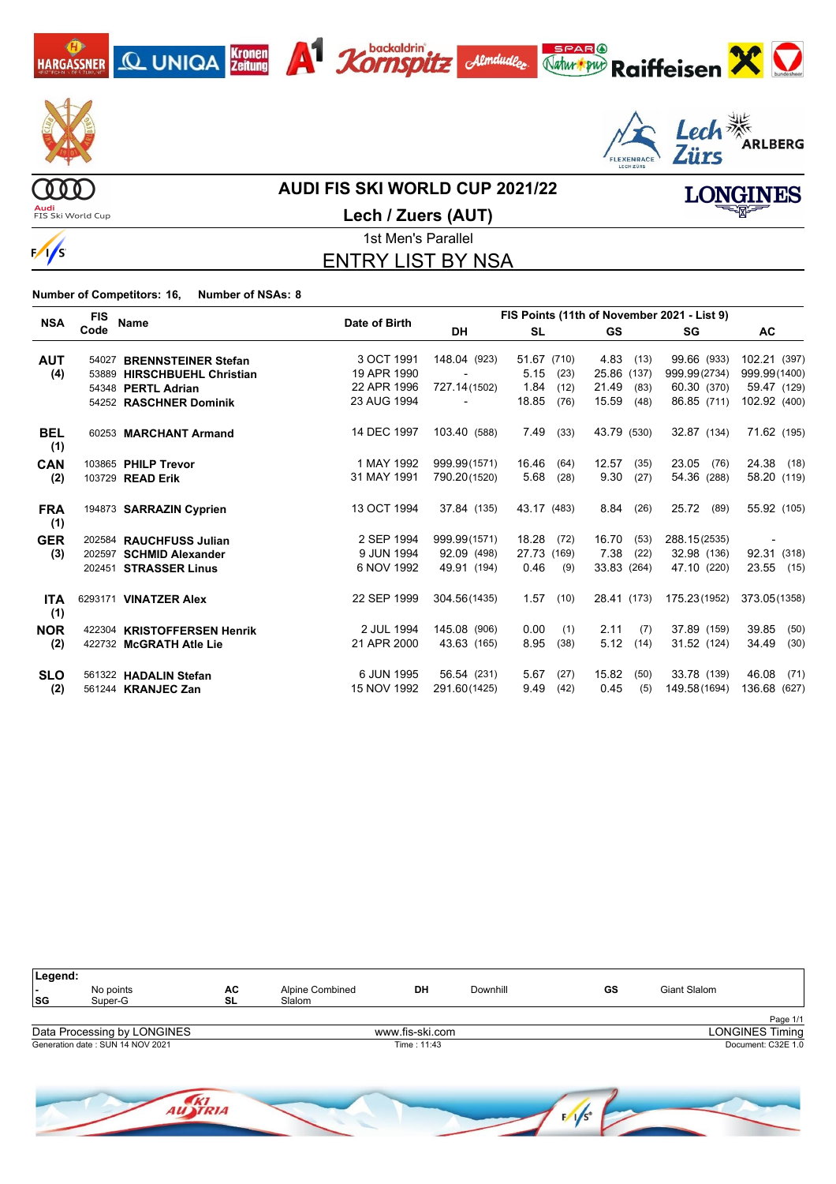



 $\frac{1}{s}$ 

#### **AUDI FIS SKI WORLD CUP 2021/22**

**Audi**<br>FIS Ski World Cup



**Lech / Zuers (AUT)**

1st Men's Parallel ENTRY LIST BY NSA

**Number of Competitors: 16, Number of NSAs: 8**

| <b>NSA</b>        | <b>FIS</b> | Name                        | Date of Birth | FIS Points (11th of November 2021 - List 9) |               |               |              |                          |  |  |  |
|-------------------|------------|-----------------------------|---------------|---------------------------------------------|---------------|---------------|--------------|--------------------------|--|--|--|
|                   | Code       |                             |               | <b>DH</b>                                   | <b>SL</b>     | <b>GS</b>     | SG           | <b>AC</b>                |  |  |  |
| <b>AUT</b>        |            | 54027 BRENNSTEINER Stefan   | 3 OCT 1991    | 148.04 (923)                                | 51.67 (710)   | 4.83<br>(13)  | 99.66 (933)  | 102.21 (397)             |  |  |  |
| (4)               |            | 53889 HIRSCHBUEHL Christian | 19 APR 1990   |                                             | 5.15<br>(23)  | 25.86 (137)   | 999.99(2734) | 999.99(1400)             |  |  |  |
|                   |            | 54348 PERTL Adrian          | 22 APR 1996   | 727.14(1502)                                | 1.84<br>(12)  | 21.49<br>(83) | 60.30 (370)  | 59.47 (129)              |  |  |  |
|                   |            | 54252 RASCHNER Dominik      | 23 AUG 1994   |                                             | 18.85<br>(76) | 15.59<br>(48) | 86.85 (711)  | 102.92 (400)             |  |  |  |
| <b>BEL</b><br>(1) |            | 60253 MARCHANT Armand       | 14 DEC 1997   | 103.40 (588)                                | 7.49<br>(33)  | 43.79 (530)   | 32.87 (134)  | 71.62 (195)              |  |  |  |
| <b>CAN</b>        |            | 103865 PHILP Trevor         | 1 MAY 1992    | 999.99(1571)                                | 16.46<br>(64) | 12.57<br>(35) | 23.05 (76)   | 24.38 (18)               |  |  |  |
| (2)               |            | 103729 READ Erik            | 31 MAY 1991   | 790.20(1520)                                | 5.68<br>(28)  | 9.30<br>(27)  | 54.36 (288)  | 58.20 (119)              |  |  |  |
| <b>FRA</b><br>(1) |            | 194873 SARRAZIN Cyprien     | 13 OCT 1994   | 37.84 (135)                                 | 43.17 (483)   | 8.84<br>(26)  | 25.72 (89)   | 55.92 (105)              |  |  |  |
| <b>GER</b>        |            | 202584 RAUCHFUSS Julian     | 2 SEP 1994    | 999.99(1571)                                | 18.28<br>(72) | 16.70<br>(53) | 288.15(2535) | $\overline{\phantom{a}}$ |  |  |  |
| (3)               |            | 202597 SCHMID Alexander     | 9 JUN 1994    | 92.09 (498)                                 | 27.73 (169)   | 7.38<br>(22)  | 32.98 (136)  | 92.31 (318)              |  |  |  |
|                   |            | 202451 STRASSER Linus       | 6 NOV 1992    | 49.91 (194)                                 | 0.46<br>(9)   | 33.83 (264)   | 47.10 (220)  | 23.55 (15)               |  |  |  |
| <b>ITA</b><br>(1) |            | 6293171 VINATZER Alex       | 22 SEP 1999   | 304.56(1435)                                | 1.57<br>(10)  | 28.41 (173)   | 175.23(1952) | 373.05(1358)             |  |  |  |
| <b>NOR</b>        |            | 422304 KRISTOFFERSEN Henrik | 2 JUL 1994    | 145.08 (906)                                | 0.00<br>(1)   | 2.11<br>(7)   | 37.89 (159)  | 39.85<br>(50)            |  |  |  |
| (2)               |            | 422732 McGRATH Atle Lie     | 21 APR 2000   | 43.63 (165)                                 | 8.95<br>(38)  | 5.12<br>(14)  | 31.52 (124)  | 34.49<br>(30)            |  |  |  |
| <b>SLO</b>        |            | 561322 HADALIN Stefan       | 6 JUN 1995    | 56.54 (231)                                 | 5.67<br>(27)  | 15.82<br>(50) | 33.78 (139)  | 46.08<br>(71)            |  |  |  |
| (2)               |            | 561244 <b>KRANJEC Zan</b>   | 15 NOV 1992   | 291.60(1425)                                | 9.49<br>(42)  | 0.45<br>(5)   | 149.58(1694) | 136.68 (627)             |  |  |  |

| Legend:                  |                                        |    |                                              |                 |          |    |                        |  |
|--------------------------|----------------------------------------|----|----------------------------------------------|-----------------|----------|----|------------------------|--|
| $\overline{\phantom{a}}$ | No points                              | AC | <b>Alpine Combined</b>                       | DH              | Downhill | GS | Giant Slalom           |  |
| SG                       | Super-G                                | SL | Slalom                                       |                 |          |    |                        |  |
|                          |                                        |    |                                              |                 |          |    | Page 1/1               |  |
|                          | Data Processing by LONGINES            |    |                                              | www.fis-ski.com |          |    | <b>LONGINES Timing</b> |  |
|                          | Generation date: SUN 14 NOV 2021       |    |                                              | Time: 11:43     |          |    | Document: C32E 1.0     |  |
|                          |                                        |    |                                              |                 |          |    |                        |  |
|                          |                                        |    |                                              |                 |          |    |                        |  |
|                          | and the property of the local distance |    | the property of the property of the property |                 |          |    |                        |  |

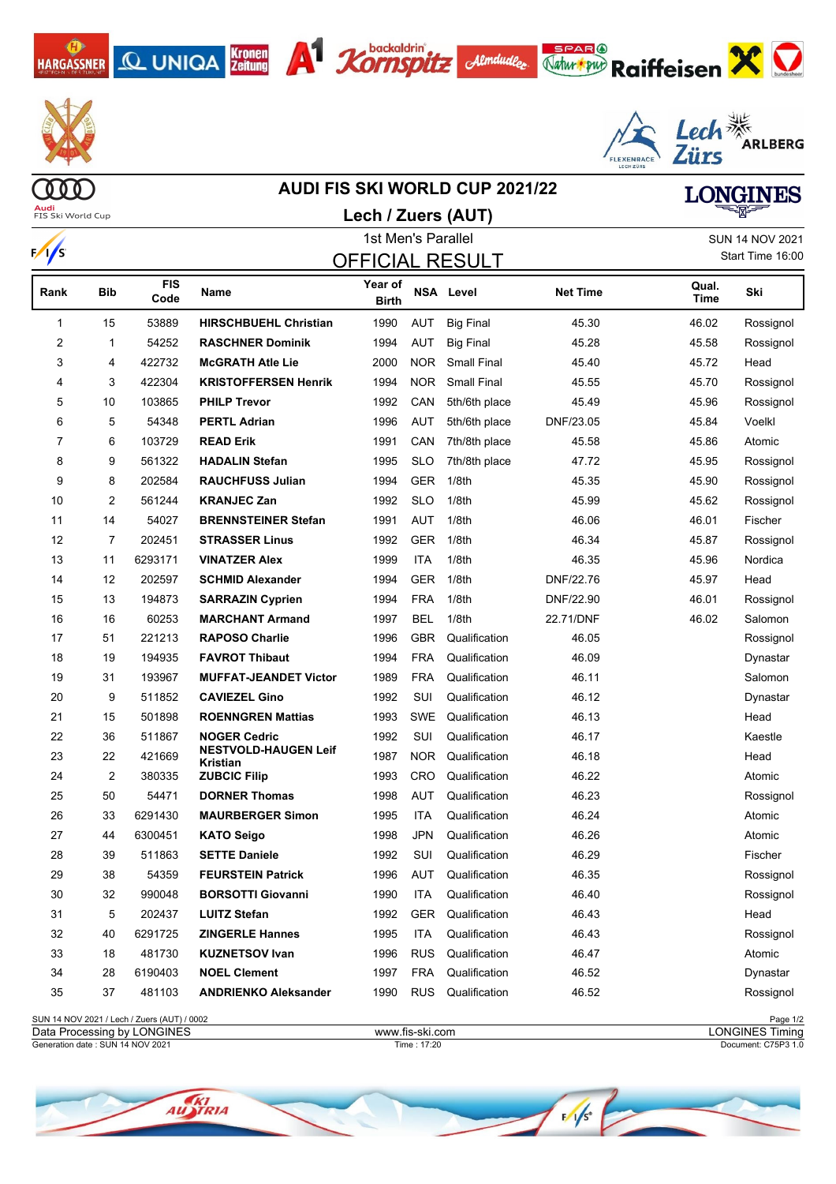





**Lech / Zuers (AUT)**









**Audi**<br>FIS Ski World Cup

# **AUDI FIS SKI WORLD CUP 2021/22 LONGINES**

|            |     |                    |                                         | 1st Men's Parallel      |            |                        |                 |               | <b>SUN 14 NOV 2021</b> |
|------------|-----|--------------------|-----------------------------------------|-------------------------|------------|------------------------|-----------------|---------------|------------------------|
| $\sqrt{s}$ |     |                    |                                         |                         |            | <b>OFFICIAL RESULT</b> |                 |               | Start Time 16:00       |
| Rank       | Bib | <b>FIS</b><br>Code | <b>Name</b>                             | Year of<br><b>Birth</b> |            | <b>NSA Level</b>       | <b>Net Time</b> | Qual.<br>Time | Ski                    |
| 1          | 15  | 53889              | <b>HIRSCHBUEHL Christian</b>            | 1990                    | AUT        | <b>Big Final</b>       | 45.30           | 46.02         | Rossignol              |
| 2          | 1   | 54252              | <b>RASCHNER Dominik</b>                 | 1994                    | <b>AUT</b> | <b>Big Final</b>       | 45.28           | 45.58         | Rossignol              |
| 3          | 4   | 422732             | <b>McGRATH Atle Lie</b>                 | 2000                    | <b>NOR</b> | <b>Small Final</b>     | 45.40           | 45.72         | Head                   |
| 4          | 3   | 422304             | <b>KRISTOFFERSEN Henrik</b>             | 1994                    | <b>NOR</b> | <b>Small Final</b>     | 45.55           | 45.70         | Rossignol              |
| 5          | 10  | 103865             | <b>PHILP Trevor</b>                     | 1992                    | CAN        | 5th/6th place          | 45.49           | 45.96         | Rossignol              |
| 6          | 5   | 54348              | <b>PERTL Adrian</b>                     | 1996                    | <b>AUT</b> | 5th/6th place          | DNF/23.05       | 45.84         | Voelkl                 |
| 7          | 6   | 103729             | <b>READ Erik</b>                        | 1991                    | CAN        | 7th/8th place          | 45.58           | 45.86         | Atomic                 |
| 8          | 9   | 561322             | <b>HADALIN Stefan</b>                   | 1995                    | <b>SLO</b> | 7th/8th place          | 47.72           | 45.95         | Rossignol              |
| 9          | 8   | 202584             | <b>RAUCHFUSS Julian</b>                 | 1994                    | <b>GER</b> | 1/8th                  | 45.35           | 45.90         | Rossignol              |
| 10         | 2   | 561244             | <b>KRANJEC Zan</b>                      | 1992                    | <b>SLO</b> | 1/8th                  | 45.99           | 45.62         | Rossignol              |
| 11         | 14  | 54027              | <b>BRENNSTEINER Stefan</b>              | 1991                    | AUT        | 1/8 <sub>th</sub>      | 46.06           | 46.01         | Fischer                |
| 12         | 7   | 202451             | <b>STRASSER Linus</b>                   | 1992                    | GER        | 1/8th                  | 46.34           | 45.87         | Rossignol              |
| 13         | 11  | 6293171            | <b>VINATZER Alex</b>                    | 1999                    | <b>ITA</b> | 1/8th                  | 46.35           | 45.96         | Nordica                |
| 14         | 12  | 202597             | <b>SCHMID Alexander</b>                 | 1994                    | <b>GER</b> | 1/8th                  | DNF/22.76       | 45.97         | Head                   |
| 15         | 13  | 194873             | <b>SARRAZIN Cyprien</b>                 | 1994                    | <b>FRA</b> | 1/8th                  | DNF/22.90       | 46.01         | Rossignol              |
| 16         | 16  | 60253              | <b>MARCHANT Armand</b>                  | 1997                    | <b>BEL</b> | 1/8th                  | 22.71/DNF       | 46.02         | Salomon                |
| 17         | 51  | 221213             | <b>RAPOSO Charlie</b>                   | 1996                    | <b>GBR</b> | Qualification          | 46.05           |               | Rossignol              |
| 18         | 19  | 194935             | <b>FAVROT Thibaut</b>                   | 1994                    | <b>FRA</b> | Qualification          | 46.09           |               | Dynastar               |
| 19         | 31  | 193967             | <b>MUFFAT-JEANDET Victor</b>            | 1989                    | <b>FRA</b> | Qualification          | 46.11           |               | Salomon                |
| 20         | 9   | 511852             | <b>CAVIEZEL Gino</b>                    | 1992                    | SUI        | Qualification          | 46.12           |               | Dynastar               |
| 21         | 15  | 501898             | <b>ROENNGREN Mattias</b>                | 1993                    | <b>SWE</b> | Qualification          | 46.13           |               | Head                   |
| 22         | 36  | 511867             | <b>NOGER Cedric</b>                     | 1992                    | SUI        | Qualification          | 46.17           |               | Kaestle                |
| 23         | 22  | 421669             | <b>NESTVOLD-HAUGEN Leif</b><br>Kristian | 1987                    | <b>NOR</b> | Qualification          | 46.18           |               | Head                   |
| 24         | 2   | 380335             | <b>ZUBCIC Filip</b>                     | 1993                    | CRO        | Qualification          | 46.22           |               | Atomic                 |
| 25         | 50  | 54471              | <b>DORNER Thomas</b>                    | 1998                    | <b>AUT</b> | Qualification          | 46.23           |               | Rossignol              |
| 26         | 33  | 6291430            | <b>MAURBERGER Simon</b>                 | 1995                    | <b>ITA</b> | Qualification          | 46.24           |               | Atomic                 |
| 27         | 44  | 6300451            | <b>KATO Seigo</b>                       | 1998                    | <b>JPN</b> | Qualification          | 46.26           |               | Atomic                 |
| 28         | 39  | 511863             | <b>SETTE Daniele</b>                    | 1992                    | SUI        | Qualification          | 46.29           |               | Fischer                |
| 29         | 38  | 54359              | <b>FEURSTEIN Patrick</b>                | 1996                    | AUT        | Qualification          | 46.35           |               | Rossignol              |
| 30         | 32  | 990048             | <b>BORSOTTI Giovanni</b>                | 1990                    | <b>ITA</b> | Qualification          | 46.40           |               | Rossignol              |
| 31         | 5   | 202437             | <b>LUITZ Stefan</b>                     | 1992                    | GER        | Qualification          | 46.43           |               | Head                   |
| 32         | 40  | 6291725            | <b>ZINGERLE Hannes</b>                  | 1995                    | ITA        | Qualification          | 46.43           |               | Rossignol              |
| 33         | 18  | 481730             | <b>KUZNETSOV Ivan</b>                   | 1996                    | <b>RUS</b> | Qualification          | 46.47           |               | Atomic                 |
| 34         | 28  | 6190403            | <b>NOEL Clement</b>                     | 1997                    | <b>FRA</b> | Qualification          | 46.52           |               | Dynastar               |
| 35         | 37  | 481103             | <b>ANDRIENKO Aleksander</b>             | 1990                    | <b>RUS</b> | Qualification          | 46.52           |               | Rossignol              |
|            |     |                    |                                         |                         |            |                        |                 |               |                        |

SUN 14 NOV 2021 / Lech / Zuers (AUT) / 0002 Page 1/2<br>
Data Processing by LONGINES Timing Page 1/2 Data Processing by LONGINES www.fis-ski.com

Generation date : SUN 14 NOV 2021 Time : 17:20 Document: C75P3 1.0

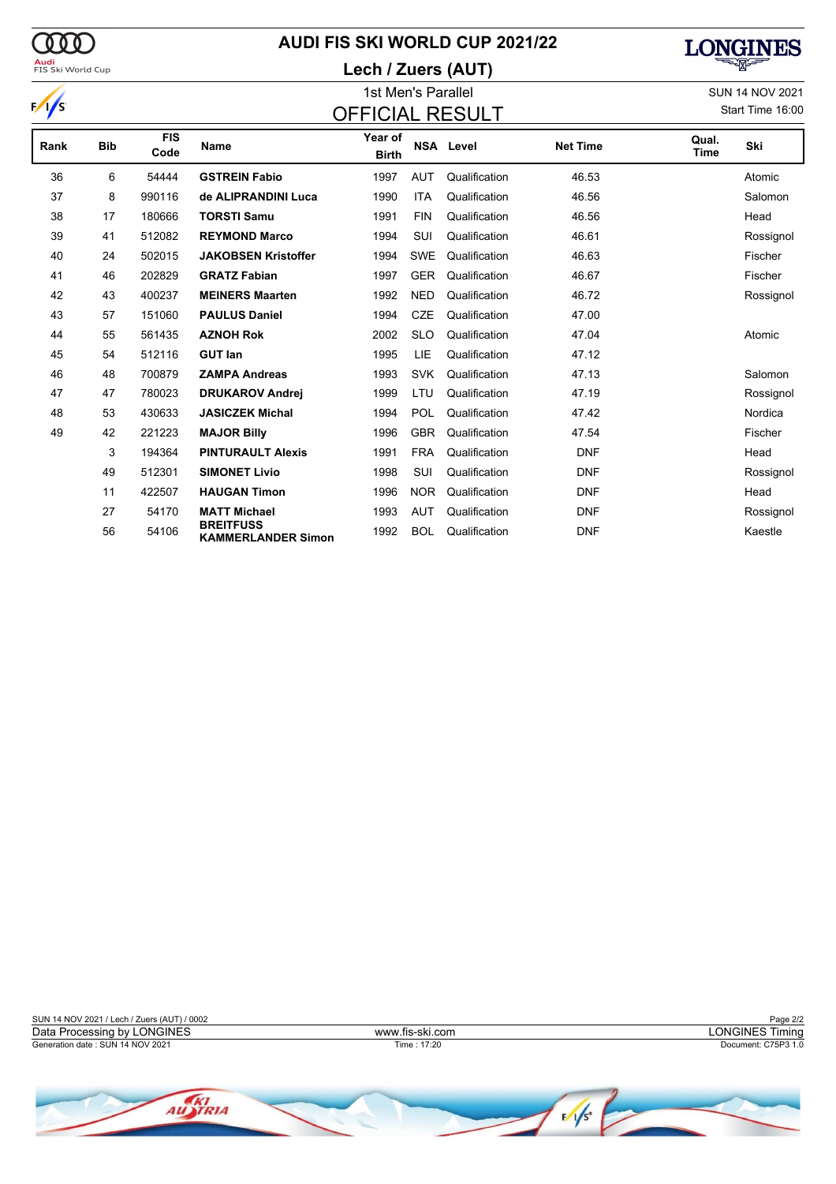### **AUDI FIS SKI WORLD CUP 2021/22**

### **Lech / Zuers (AUT)**



| FIS SKI VVORIG CUP |            |                    |                            | Lecit / Zuels (AUT)     |                        |                  |                 |               |           |  |  |  |  |
|--------------------|------------|--------------------|----------------------------|-------------------------|------------------------|------------------|-----------------|---------------|-----------|--|--|--|--|
|                    |            |                    |                            |                         | <b>SUN 14 NOV 2021</b> |                  |                 |               |           |  |  |  |  |
| $\sqrt{s}$         |            |                    |                            |                         | Start Time 16:00       |                  |                 |               |           |  |  |  |  |
| Rank               | <b>Bib</b> | <b>FIS</b><br>Code | <b>Name</b>                | Year of<br><b>Birth</b> |                        | <b>NSA Level</b> | <b>Net Time</b> | Qual.<br>Time | Ski       |  |  |  |  |
| 36                 | 6          | 54444              | <b>GSTREIN Fabio</b>       | 1997                    | <b>AUT</b>             | Qualification    | 46.53           |               | Atomic    |  |  |  |  |
| 37                 | 8          | 990116             | de ALIPRANDINI Luca        | 1990                    | <b>ITA</b>             | Qualification    | 46.56           |               | Salomon   |  |  |  |  |
| 38                 | 17         | 180666             | <b>TORSTI Samu</b>         | 1991                    | <b>FIN</b>             | Qualification    | 46.56           |               | Head      |  |  |  |  |
| 39                 | 41         | 512082             | <b>REYMOND Marco</b>       | 1994                    | SUI                    | Qualification    | 46.61           |               | Rossignol |  |  |  |  |
| 40                 | 24         | 502015             | <b>JAKOBSEN Kristoffer</b> | 1994                    | <b>SWE</b>             | Qualification    | 46.63           |               | Fischer   |  |  |  |  |
| 41                 | 46         | 202829             | <b>GRATZ Fabian</b>        | 1997                    | <b>GER</b>             | Qualification    | 46.67           |               | Fischer   |  |  |  |  |
| 42                 | 43         | 400237             | <b>MEINERS Maarten</b>     | 1992                    | <b>NED</b>             | Qualification    | 46.72           |               | Rossignol |  |  |  |  |
| 43                 | 57         | 151060             | <b>PAULUS Daniel</b>       | 1994                    | <b>CZE</b>             | Qualification    | 47.00           |               |           |  |  |  |  |
| 44                 | 55         | 561435             | <b>AZNOH Rok</b>           | 2002                    | <b>SLO</b>             | Qualification    | 47.04           |               | Atomic    |  |  |  |  |
| 45                 | 54         | 512116             | <b>GUT lan</b>             | 1995                    | LIE                    | Qualification    | 47.12           |               |           |  |  |  |  |
| 46                 | 48         | 700879             | <b>ZAMPA Andreas</b>       | 1993                    | <b>SVK</b>             | Qualification    | 47.13           |               | Salomon   |  |  |  |  |
| 47                 | 47         | 780023             | <b>DRUKAROV Andrej</b>     | 1999                    | LTU                    | Qualification    | 47.19           |               | Rossignol |  |  |  |  |
| 48                 | 53         | 430633             | <b>JASICZEK Michal</b>     | 1994                    | POL                    | Qualification    | 47.42           |               | Nordica   |  |  |  |  |
|                    |            |                    |                            |                         |                        |                  |                 |               |           |  |  |  |  |

49 42 221223 **MAJOR Billy** 1996 GBR Qualification 47.54 Fischer

 194364 **PINTURAULT Alexis** 1991 FRA Qualification DNF Head 512301 **SIMONET Livio** 1998 SUI Qualification DNF Rossignol 422507 **HAUGAN Timon** 1996 NOR Qualification DNF Head 54170 **MATT Michael** 1993 AUT Qualification DNF Rossignol

**KREITFUSS**<br>
KAMMERLANDER Simon 1992 BOL Qualification DNF DNF

<sup>56</sup> <sup>54106</sup> **BREITFUSS**

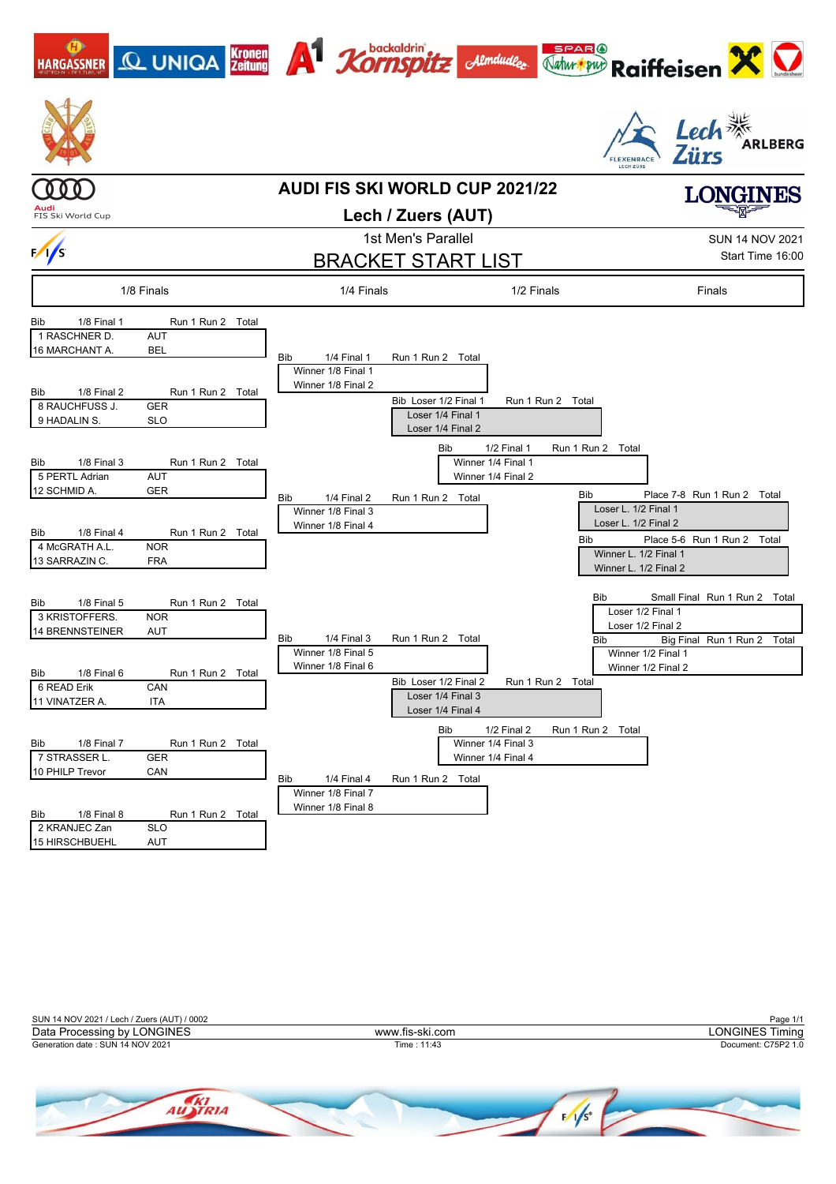



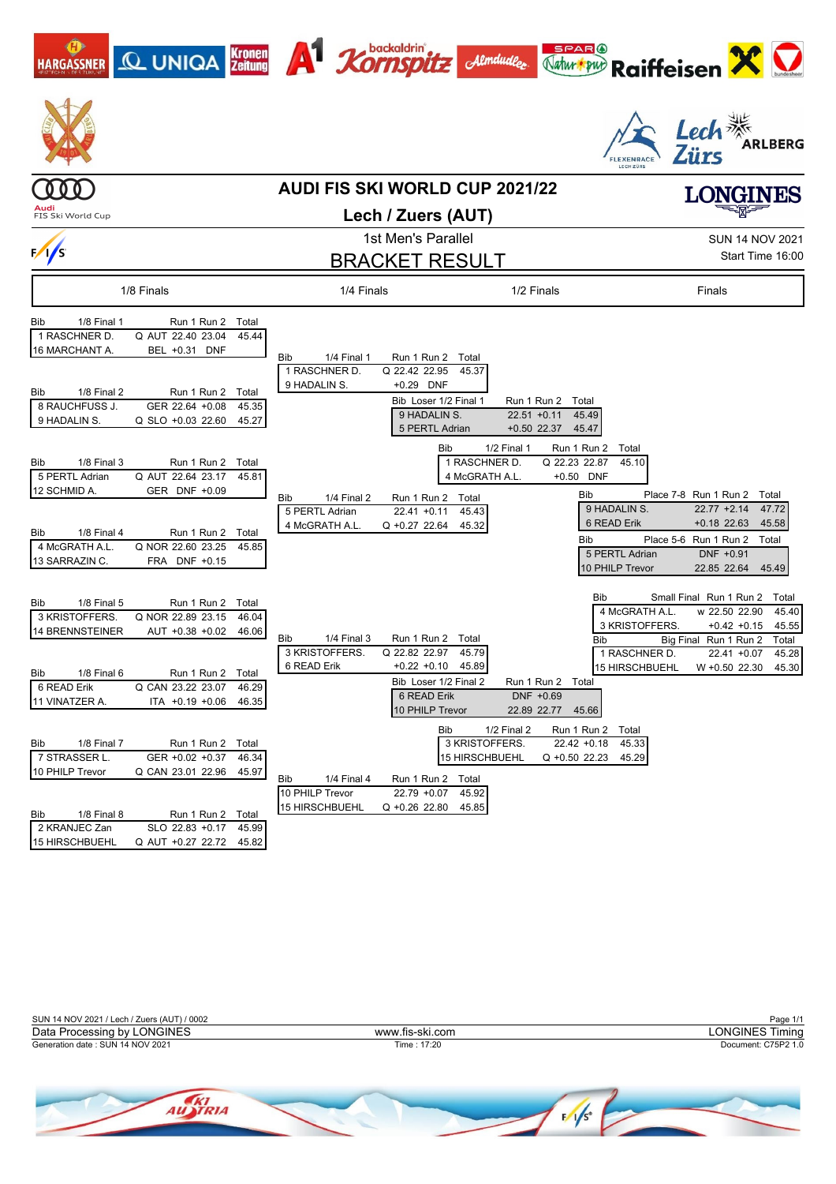| <b>Q UNIQA</b> Kronen<br><b>HARGASSNER</b>                                                                                                                                                                                                                                   | <b>A</b> <i><b>Xornspitz</b></i><br>Almdudler                                                                                                                                                                                               | Natur our<br><b>Raiffeisen</b>                                                                                                                                                                                                                                                                           |
|------------------------------------------------------------------------------------------------------------------------------------------------------------------------------------------------------------------------------------------------------------------------------|---------------------------------------------------------------------------------------------------------------------------------------------------------------------------------------------------------------------------------------------|----------------------------------------------------------------------------------------------------------------------------------------------------------------------------------------------------------------------------------------------------------------------------------------------------------|
|                                                                                                                                                                                                                                                                              |                                                                                                                                                                                                                                             | Lech <sup>**</sup><br>ARLBERG                                                                                                                                                                                                                                                                            |
|                                                                                                                                                                                                                                                                              | <b>AUDI FIS SKI WORLD CUP 2021/22</b>                                                                                                                                                                                                       | LONGINES                                                                                                                                                                                                                                                                                                 |
| FIS Ski World Cup                                                                                                                                                                                                                                                            | Lech / Zuers (AUT)                                                                                                                                                                                                                          |                                                                                                                                                                                                                                                                                                          |
|                                                                                                                                                                                                                                                                              | 1st Men's Parallel                                                                                                                                                                                                                          | <b>SUN 14 NOV 2021</b>                                                                                                                                                                                                                                                                                   |
| $\sqrt{s}$                                                                                                                                                                                                                                                                   | <b>BRACKET RESULT</b>                                                                                                                                                                                                                       | Start Time 16:00                                                                                                                                                                                                                                                                                         |
| 1/8 Finals                                                                                                                                                                                                                                                                   | 1/2 Finals<br>1/4 Finals                                                                                                                                                                                                                    | Finals                                                                                                                                                                                                                                                                                                   |
| 1/8 Final 1<br>Run 1 Run 2<br>Bib<br>Total<br>1 RASCHNER D.<br>Q AUT 22.40 23.04<br>45.44<br>16 MARCHANT A.<br>BEL +0.31 DNF                                                                                                                                                 | 1/4 Final 1<br><b>Bib</b><br>Run 1 Run 2<br>Total<br>1 RASCHNER D.<br>Q 22.42 22.95<br>45.37                                                                                                                                                |                                                                                                                                                                                                                                                                                                          |
| 1/8 Final 2<br>Run 1 Run 2 Total<br>Bib<br>8 RAUCHFUSS J.<br>GER 22.64 +0.08<br>45.35<br>9 HADALIN S.<br>Q SLO +0.03 22.60<br>45.27                                                                                                                                          | 9 HADALIN S.<br>+0.29 DNF<br>Bib Loser 1/2 Final 1<br>Run 1 Run 2 Total<br>9 HADALIN S.<br>$22.51 + 0.11$<br>5 PERTL Adrian<br>$+0.50$ 22.37                                                                                                | 45.49<br>45.47                                                                                                                                                                                                                                                                                           |
| 1/8 Final 3<br>Run 1 Run 2 Total<br>Bib<br>5 PERTL Adrian<br>Q AUT 22.64 23.17<br>45.81<br>12 SCHMID A.<br>GER DNF +0.09<br>1/8 Final 4<br>Run 1 Run 2 Total<br>Bib<br>4 McGRATH A.L.<br>Q NOR 22.60 23.25<br>45.85<br>13 SARRAZIN C.<br>FRA DNF +0.15                       | 1/2 Final 1<br>Bib<br>1 RASCHNER D.<br>4 McGRATH A.L.<br>1/4 Final 2<br>Run 1 Run 2 Total<br>Bib<br>5 PERTL Adrian<br>$22.41 + 0.11$<br>45.43<br>4 McGRATH A.L.<br>Q +0.27 22.64<br>45.32                                                   | Run 1 Run 2<br>Total<br>Q 22.23 22.87<br>45.10<br>+0.50 DNF<br>Bib<br>Place 7-8 Run 1 Run 2 Total<br>9 HADALIN S.<br>$22.77 + 2.14$<br>47.72<br>6 READ Erik<br>$+0.18$ 22.63<br>45.58<br>Place 5-6 Run 1 Run 2<br>Bib<br>Total<br>5 PERTL Adrian<br>DNF +0.91<br>10 PHILP Trevor<br>22.85 22.64<br>45.49 |
| 1/8 Final 5<br>Run 1 Run 2 Total<br>Bib<br>3 KRISTOFFERS.<br>Q NOR 22.89 23.15<br>46.04<br>14 BRENNSTEINER<br>AUT +0.38 +0.02<br>46.06<br>1/8 Final 6<br>Run 1 Run 2 Total<br>Bib<br>6 READ Erik<br>Q CAN 23.22 23.07<br>46.29<br>11 VINATZER A.<br>ITA +0.19 +0.06<br>46.35 | 1/4 Final 3<br>Run 1 Run 2<br>Bib<br>Total<br>3 KRISTOFFERS.<br>Q 22.82 22.97<br>45.79<br>6 READ Erik<br>$+0.22 +0.10$<br>45.89<br>Bib Loser 1/2 Final 2<br>Run 1 Run 2<br>DNF +0.69<br>6 READ Erik<br>10 PHILP Trevor<br>22.89 22.77 45.66 | Small Final Run 1 Run 2<br>Bib<br>Total<br>4 McGRATH A.L.<br>w 22.50 22.90<br>45.40<br>3 KRISTOFFERS.<br>$+0.42 +0.15$<br>45.55<br>Big Final Run 1 Run 2<br>Total<br>Bib<br>1 RASCHNER D.<br>$22.41 + 0.07$<br>45.28<br><b>15 HIRSCHBUEHL</b><br>W +0.50 22.30<br>45.30<br>Total                         |
| 1/8 Final 7<br>Run 1 Run 2 Total<br>Bib<br>7 STRASSER L.<br>GER +0.02 +0.37<br>46.34<br>10 PHILP Trevor<br>Q CAN 23.01 22.96<br>45.97<br>1/8 Final 8<br>Run 1 Run 2 Total<br>Bib<br>2 KRANJEC Zan<br>SLO 22.83 +0.17 45.99                                                   | 1/2 Final 2<br>Bib<br>3 KRISTOFFERS.<br>15 HIRSCHBUEHL<br>Bib<br>1/4 Final 4<br>Run 1 Run 2 Total<br>10 PHILP Trevor<br>$22.79 + 0.07$<br>45.92<br>15 HIRSCHBUEHL<br>Q +0.26 22.80<br>45.85                                                 | Run 1 Run 2<br>Total<br>$22.42 + 0.18$<br>45.33<br>Q +0.50 22.23<br>45.29                                                                                                                                                                                                                                |

 $\overline{\phantom{a}}$ 

| SUN 14 NOV 2021 / Lech / Zuers (AUT) / 0002 |                 | Page 1/1               |
|---------------------------------------------|-----------------|------------------------|
| Data Processing by LONGINES                 | www.fis-ski.com | <b>LONGINES Timing</b> |
| Generation date: SUN 14 NOV 2021            | Time : 17:20    | Document: C75P2 1.0    |
|                                             |                 |                        |

15 HIRSCHBUEHL Q AUT +0.27 22.72

Q AUT +0.27 22.72 45.82

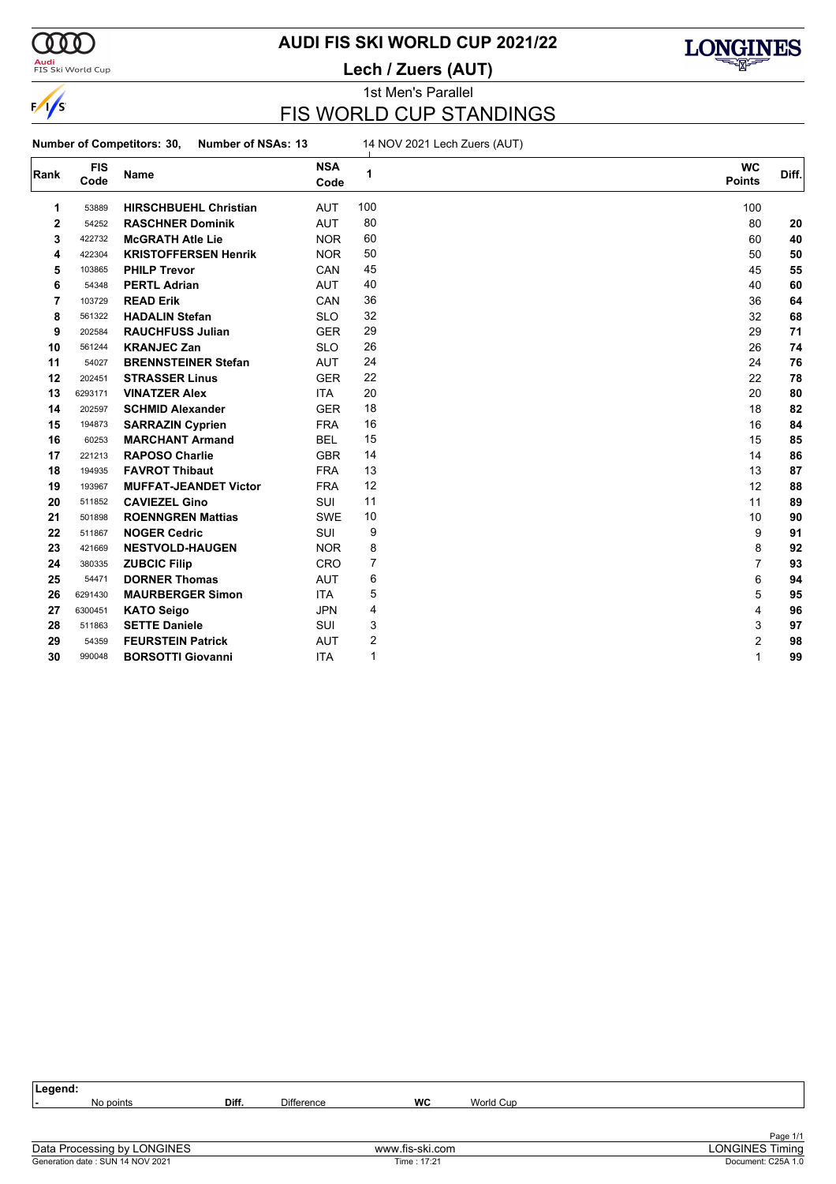

 $\frac{1}{s}$ 

#### **Audi**<br>FIS Ski World Cup

# **AUDI FIS SKI WORLD CUP 2021/22**

**Lech / Zuers (AUT)**



1st Men's Parallel

### FIS WORLD CUP STANDINGS

**Number of Competitors: 30, Number of NSAs: 13** 14 NOV 2021 Lech Zuers (AUT)

| Rank | <b>FIS</b> | Name                         | <b>NSA</b> | 1   | <b>WC</b>     | Diff. |
|------|------------|------------------------------|------------|-----|---------------|-------|
|      | Code       |                              | Code       |     | <b>Points</b> |       |
| 1    | 53889      | <b>HIRSCHBUEHL Christian</b> | <b>AUT</b> | 100 | 100           |       |
| 2    | 54252      | <b>RASCHNER Dominik</b>      | <b>AUT</b> | 80  | 80            | 20    |
| 3    | 422732     | <b>McGRATH Atle Lie</b>      | <b>NOR</b> | 60  | 60            | 40    |
| 4    | 422304     | <b>KRISTOFFERSEN Henrik</b>  | <b>NOR</b> | 50  | 50            | 50    |
| 5    | 103865     | <b>PHILP Trevor</b>          | CAN        | 45  | 45            | 55    |
| 6    | 54348      | <b>PERTL Adrian</b>          | <b>AUT</b> | 40  | 40            | 60    |
| 7    | 103729     | <b>READ Erik</b>             | CAN        | 36  | 36            | 64    |
| 8    | 561322     | <b>HADALIN Stefan</b>        | <b>SLO</b> | 32  | 32            | 68    |
| 9    | 202584     | <b>RAUCHFUSS Julian</b>      | <b>GER</b> | 29  | 29            | 71    |
| 10   | 561244     | <b>KRANJEC Zan</b>           | <b>SLO</b> | 26  | 26            | 74    |
| 11   | 54027      | <b>BRENNSTEINER Stefan</b>   | <b>AUT</b> | 24  | 24            | 76    |
| 12   | 202451     | <b>STRASSER Linus</b>        | <b>GER</b> | 22  | 22            | 78    |
| 13   | 6293171    | <b>VINATZER Alex</b>         | <b>ITA</b> | 20  | 20            | 80    |
| 14   | 202597     | <b>SCHMID Alexander</b>      | <b>GER</b> | 18  | 18            | 82    |
| 15   | 194873     | <b>SARRAZIN Cyprien</b>      | <b>FRA</b> | 16  | 16            | 84    |
| 16   | 60253      | <b>MARCHANT Armand</b>       | <b>BEL</b> | 15  | 15            | 85    |
| 17   | 221213     | <b>RAPOSO Charlie</b>        | <b>GBR</b> | 14  | 14            | 86    |
| 18   | 194935     | <b>FAVROT Thibaut</b>        | <b>FRA</b> | 13  | 13            | 87    |
| 19   | 193967     | <b>MUFFAT-JEANDET Victor</b> | <b>FRA</b> | 12  | 12            | 88    |
| 20   | 511852     | <b>CAVIEZEL Gino</b>         | <b>SUI</b> | 11  | 11            | 89    |
| 21   | 501898     | <b>ROENNGREN Mattias</b>     | <b>SWE</b> | 10  | 10            | 90    |
| 22   | 511867     | <b>NOGER Cedric</b>          | SUI        | 9   | 9             | 91    |
| 23   | 421669     | <b>NESTVOLD-HAUGEN</b>       | <b>NOR</b> | 8   | 8             | 92    |
| 24   | 380335     | <b>ZUBCIC Filip</b>          | CRO        | 7   | 7             | 93    |
| 25   | 54471      | <b>DORNER Thomas</b>         | <b>AUT</b> | 6   | 6             | 94    |
| 26   | 6291430    | <b>MAURBERGER Simon</b>      | <b>ITA</b> | 5   | 5             | 95    |
| 27   | 6300451    | <b>KATO Seigo</b>            | <b>JPN</b> | 4   | 4             | 96    |
| 28   | 511863     | <b>SETTE Daniele</b>         | <b>SUI</b> | 3   | 3             | 97    |
| 29   | 54359      | <b>FEURSTEIN Patrick</b>     | <b>AUT</b> | 2   | 2             | 98    |
| 30   | 990048     | <b>BORSOTTI Giovanni</b>     | <b>ITA</b> | 1   | 1             | 99    |

| Legend:                          |       |                   |                 |           |                        |
|----------------------------------|-------|-------------------|-----------------|-----------|------------------------|
| No points                        | Diff. | <b>Difference</b> | <b>WC</b>       | World Cup |                        |
|                                  |       |                   |                 |           |                        |
|                                  |       |                   |                 |           | Page 1/1               |
| Data Processing by LONGINES      |       |                   | www.fis-ski.com |           | <b>LONGINES Timing</b> |
| Generation date: SUN 14 NOV 2021 |       |                   | Time: 17:21     |           | Document: C25A 1.0     |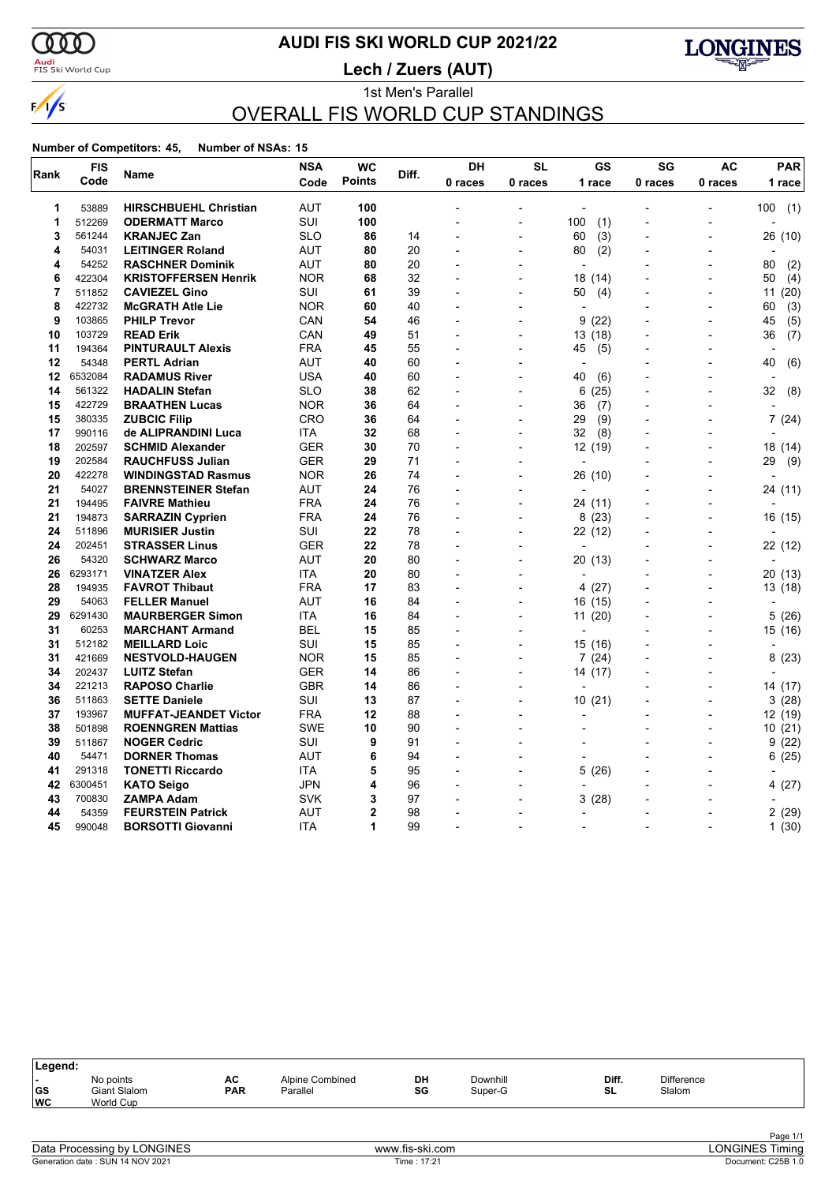### $\alpha\sigma$

 $\frac{1}{s}$ 

### <mark>Audi</mark><br>FIS Ski World Cup

# **AUDI FIS SKI WORLD CUP 2021/22**

**Lech / Zuers (AUT)**



### 1st Men's Parallel OVERALL FIS WORLD CUP STANDINGS

#### **Number of Competitors: 45, Number of NSAs: 15**

|      | <b>FIS</b> |                              | <b>NSA</b> | <b>WC</b>      | Diff. | DH                       | <b>SL</b>                | GS                       | SG                       | AC                       | <b>PAR</b>               |  |
|------|------------|------------------------------|------------|----------------|-------|--------------------------|--------------------------|--------------------------|--------------------------|--------------------------|--------------------------|--|
| Rank | Code       | Name                         | Code       | <b>Points</b>  |       | 0 races                  | 0 races                  | 1 race                   | 0 races                  | 0 races                  | 1 race                   |  |
| 1    | 53889      | <b>HIRSCHBUEHL Christian</b> | <b>AUT</b> | 100            |       |                          | $\overline{a}$           |                          |                          | ٠                        | 100(1)                   |  |
| 1    | 512269     | <b>ODERMATT Marco</b>        | <b>SUI</b> | 100            |       |                          |                          | 100<br>(1)               |                          | $\overline{a}$           |                          |  |
| 3    | 561244     | <b>KRANJEC Zan</b>           | <b>SLO</b> | 86             | 14    |                          | $\overline{\phantom{a}}$ | 60<br>(3)                | $\overline{\phantom{a}}$ | $\overline{\phantom{a}}$ | 26 (10)                  |  |
| 4    | 54031      | <b>LEITINGER Roland</b>      | <b>AUT</b> | 80             | 20    |                          |                          | (2)<br>80                |                          | $\overline{a}$           |                          |  |
| 4    | 54252      | <b>RASCHNER Dominik</b>      | AUT        | 80             | 20    | $\overline{a}$           |                          | $\overline{a}$           |                          | $\overline{a}$           | 80<br>(2)                |  |
| 6    | 422304     | <b>KRISTOFFERSEN Henrik</b>  | <b>NOR</b> | 68             | 32    |                          |                          | 18 (14)                  |                          |                          | 50<br>(4)                |  |
| 7    | 511852     | <b>CAVIEZEL Gino</b>         | SUI        | 61             | 39    |                          | $\overline{a}$           | 50<br>(4)                |                          | $\overline{a}$           | 11(20)                   |  |
| 8    | 422732     | <b>McGRATH Atle Lie</b>      | <b>NOR</b> | 60             | 40    |                          |                          | ÷                        |                          | $\overline{a}$           | 60<br>(3)                |  |
| 9    | 103865     | <b>PHILP Trevor</b>          | CAN        | 54             | 46    |                          |                          | 9<br>(22)                |                          | $\overline{\phantom{a}}$ | (5)<br>45                |  |
| 10   | 103729     | <b>READ Erik</b>             | CAN        | 49             | 51    | $\overline{\phantom{a}}$ | $\overline{a}$           | 13(18)                   |                          | $\blacksquare$           | 36<br>(7)                |  |
| 11   | 194364     | <b>PINTURAULT Alexis</b>     | FRA        | 45             | 55    |                          |                          | 45<br>(5)                |                          | $\blacksquare$           | $\overline{\phantom{a}}$ |  |
| 12   | 54348      | <b>PERTL Adrian</b>          | <b>AUT</b> | 40             | 60    | $\overline{a}$           | $\overline{\phantom{a}}$ | $\overline{\phantom{a}}$ |                          | $\overline{a}$           | 40<br>(6)                |  |
| 12   | 6532084    | <b>RADAMUS River</b>         | <b>USA</b> | 40             | 60    |                          |                          | 40<br>(6)                |                          |                          |                          |  |
| 14   | 561322     | <b>HADALIN Stefan</b>        | <b>SLO</b> | 38             | 62    |                          |                          | (25)<br>6                |                          |                          | 32<br>(8)                |  |
| 15   | 422729     | <b>BRAATHEN Lucas</b>        | <b>NOR</b> | 36             | 64    |                          |                          | 36<br>(7)                |                          |                          |                          |  |
| 15   | 380335     | <b>ZUBCIC Filip</b>          | CRO        | 36             | 64    |                          |                          | (9)<br>29                |                          | $\overline{a}$           | 7(24)                    |  |
| 17   | 990116     | de ALIPRANDINI Luca          | <b>ITA</b> | 32             | 68    |                          |                          | 32<br>(8)                |                          |                          |                          |  |
| 18   | 202597     | <b>SCHMID Alexander</b>      | GER        | 30             | 70    |                          |                          | 12 (19)                  |                          | $\overline{a}$           | 18 (14)                  |  |
| 19   | 202584     | <b>RAUCHFUSS Julian</b>      | <b>GER</b> | 29             | 71    | $\overline{\phantom{a}}$ | $\overline{\phantom{a}}$ |                          |                          | $\overline{\phantom{a}}$ | 29<br>(9)                |  |
| 20   | 422278     | <b>WINDINGSTAD Rasmus</b>    | <b>NOR</b> | 26             | 74    |                          |                          | 26 (10)                  |                          | $\overline{a}$           |                          |  |
| 21   | 54027      | <b>BRENNSTEINER Stefan</b>   | AUT        | 24             | 76    |                          |                          | $\overline{a}$           |                          | $\overline{a}$           | 24 (11)                  |  |
| 21   | 194495     | <b>FAIVRE Mathieu</b>        | <b>FRA</b> | 24             | 76    |                          |                          | 24 (11)                  |                          |                          |                          |  |
| 21   | 194873     | <b>SARRAZIN Cyprien</b>      | FRA        | 24             | 76    |                          |                          | 8(23)                    |                          |                          | 16 (15)                  |  |
| 24   | 511896     | <b>MURISIER Justin</b>       | SUI        | 22             | 78    |                          |                          | 22 (12)                  |                          | $\overline{a}$           |                          |  |
| 24   | 202451     | <b>STRASSER Linus</b>        | <b>GER</b> | 22             | 78    |                          |                          |                          |                          |                          | 22 (12)                  |  |
| 26   | 54320      | <b>SCHWARZ Marco</b>         | <b>AUT</b> | 20             | 80    | $\overline{a}$           |                          | 20 (13)                  |                          | $\overline{a}$           |                          |  |
| 26   | 6293171    | <b>VINATZER Alex</b>         | ITA        | 20             | 80    |                          |                          |                          |                          | $\overline{a}$           | 20 (13)                  |  |
| 28   | 194935     | <b>FAVROT Thibaut</b>        | <b>FRA</b> | 17             | 83    | $\overline{a}$           | $\overline{a}$           | 4 (27)                   |                          | $\overline{a}$           | 13 (18)                  |  |
| 29   | 54063      | <b>FELLER Manuel</b>         | <b>AUT</b> | 16             | 84    |                          |                          | 16 (15)                  |                          | $\overline{a}$           |                          |  |
| 29   | 6291430    | <b>MAURBERGER Simon</b>      | <b>ITA</b> | 16             | 84    |                          |                          | 11(20)                   |                          |                          | 5 (26)                   |  |
| 31   | 60253      | <b>MARCHANT Armand</b>       | BEL        | 15             | 85    |                          |                          | $\overline{\phantom{a}}$ |                          |                          | 15 (16)                  |  |
| 31   | 512182     | <b>MEILLARD Loic</b>         | SUI        | 15             | 85    |                          |                          | 15(16)                   |                          | $\overline{a}$           |                          |  |
| 31   | 421669     | <b>NESTVOLD-HAUGEN</b>       | <b>NOR</b> | 15             | 85    |                          |                          | 7(24)                    |                          |                          | 8<br>(23)                |  |
| 34   | 202437     | <b>LUITZ Stefan</b>          | GER        | 14             | 86    |                          |                          | 14 (17)                  |                          | $\overline{a}$           |                          |  |
| 34   | 221213     | <b>RAPOSO Charlie</b>        | <b>GBR</b> | 14             | 86    | $\overline{a}$           | $\blacksquare$           | L,                       |                          | $\overline{a}$           | 14 (17)                  |  |
| 36   | 511863     | <b>SETTE Daniele</b>         | SUI        | 13             | 87    |                          |                          | 10(21)                   |                          | $\overline{a}$           | 3(28)                    |  |
| 37   | 193967     | <b>MUFFAT-JEANDET Victor</b> | <b>FRA</b> | 12             | 88    |                          |                          |                          |                          |                          | 12 (19)                  |  |
| 38   | 501898     | <b>ROENNGREN Mattias</b>     | <b>SWE</b> | 10             | 90    |                          |                          |                          |                          |                          | 10(21)                   |  |
| 39   | 511867     | <b>NOGER Cedric</b>          | SUI        | 9              | 91    |                          |                          | $\overline{a}$           |                          | $\overline{a}$           | 9<br>(22)                |  |
| 40   | 54471      | <b>DORNER Thomas</b>         | AUT        | 6              | 94    |                          | $\overline{a}$           | $\overline{a}$           |                          | $\overline{a}$           | (25)<br>6                |  |
| 41   | 291318     | <b>TONETTI Riccardo</b>      | <b>ITA</b> | 5              | 95    |                          |                          | (26)<br>5                |                          |                          |                          |  |
| 42   | 6300451    | <b>KATO Seigo</b>            | <b>JPN</b> | 4              | 96    |                          | $\blacksquare$           |                          |                          | $\overline{a}$           | 4(27)                    |  |
| 43   | 700830     | <b>ZAMPA Adam</b>            | SVK        | 3              | 97    |                          |                          | 3<br>(28)                |                          |                          |                          |  |
| 44   | 54359      | <b>FEURSTEIN Patrick</b>     | <b>AUT</b> | $\overline{2}$ | 98    |                          |                          | $\overline{a}$           |                          |                          | 2(29)                    |  |
| 45   | 990048     | <b>BORSOTTI Giovanni</b>     | <b>ITA</b> | 1              | 99    | L,                       |                          | $\blacksquare$           |                          | $\overline{a}$           | 1(30)                    |  |

| Legend:                                            |                                        |                  |                             |          |                     |             |                             |  |
|----------------------------------------------------|----------------------------------------|------------------|-----------------------------|----------|---------------------|-------------|-----------------------------|--|
| $\overline{\phantom{0}}$<br><b>GS</b><br><b>WC</b> | No points<br>Giant Slalom<br>World Cup | AC<br><b>PAR</b> | Alpine Combined<br>Parallel | DH<br>SG | Downhill<br>Super-G | Diff.<br>SL | <b>Difference</b><br>Slalom |  |
|                                                    |                                        |                  |                             |          |                     |             |                             |  |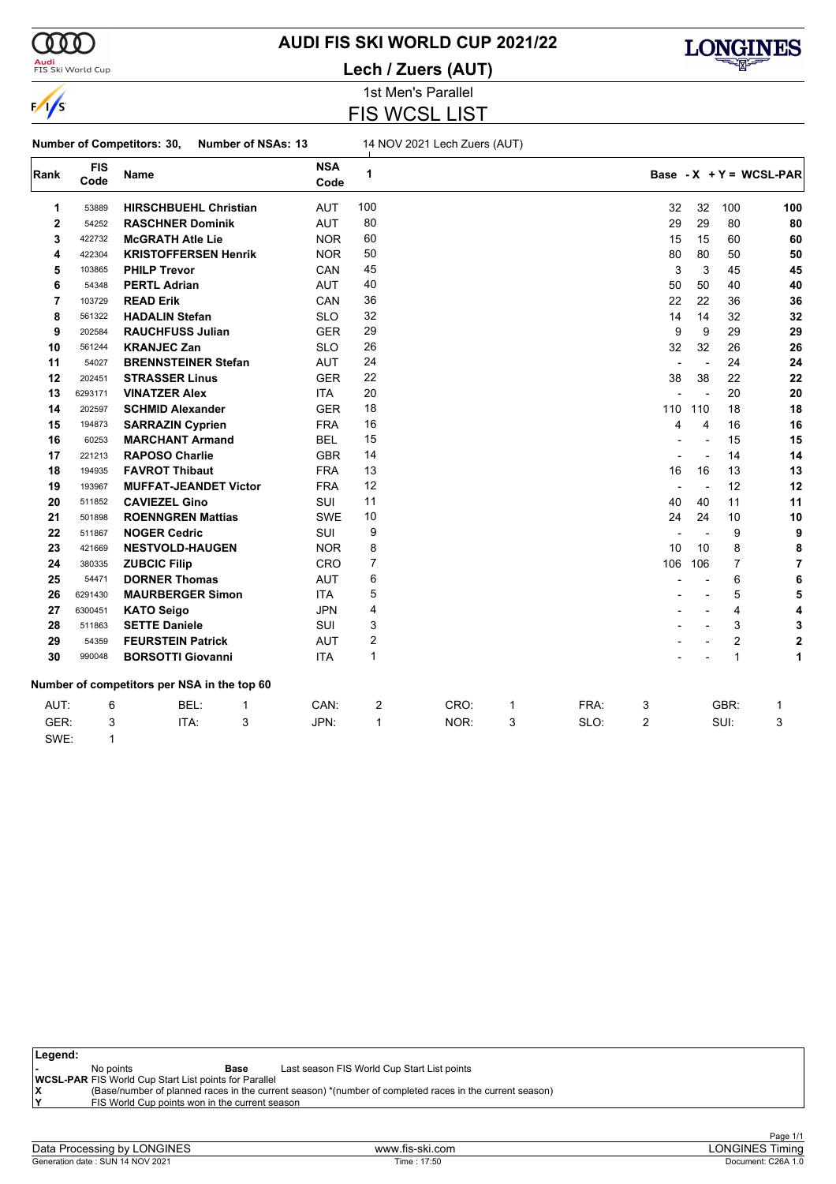

# **AUDI FIS SKI WORLD CUP 2021/22**

<mark>Audi</mark><br>FIS Ski World Cup

### 1st Men's Parallel **Lech / Zuers (AUT)**



FIS WCSL LIST

# **Number of Competitors: 30, Number of NSAs: 13** 14 NOV 2021 Lech Zuers (AUT)

| Rank           | <b>FIS</b><br>Code | Name                                        |             | <b>NSA</b><br>Code | 1              |      |   |      |                          |                |                | Base - $X + Y = WCSL-PAR$ |
|----------------|--------------------|---------------------------------------------|-------------|--------------------|----------------|------|---|------|--------------------------|----------------|----------------|---------------------------|
| 1              | 53889              | <b>HIRSCHBUEHL Christian</b>                |             | <b>AUT</b>         | 100            |      |   |      | 32                       | 32             | 100            | 100                       |
| $\mathbf 2$    | 54252              | <b>RASCHNER Dominik</b>                     |             | <b>AUT</b>         | 80             |      |   |      | 29                       | 29             | 80             | 80                        |
| 3              | 422732             | <b>McGRATH Atle Lie</b>                     |             | <b>NOR</b>         | 60             |      |   |      | 15                       | 15             | 60             | 60                        |
| 4              | 422304             | <b>KRISTOFFERSEN Henrik</b>                 |             | <b>NOR</b>         | 50             |      |   |      | 80                       | 80             | 50             | 50                        |
| 5              | 103865             | <b>PHILP Trevor</b>                         |             | CAN                | 45             |      |   |      | 3                        | 3              | 45             | 45                        |
| 6              | 54348              | <b>PERTL Adrian</b>                         |             | AUT                | 40             |      |   |      | 50                       | 50             | 40             | 40                        |
| $\overline{7}$ | 103729             | <b>READ Erik</b>                            |             | CAN                | 36             |      |   |      | 22                       | 22             | 36             | 36                        |
| 8              | 561322             | <b>HADALIN Stefan</b>                       |             | <b>SLO</b>         | 32             |      |   |      | 14                       | 14             | 32             | 32                        |
| 9              | 202584             | <b>RAUCHFUSS Julian</b>                     |             | <b>GER</b>         | 29             |      |   |      | 9                        | 9              | 29             | 29                        |
| 10             | 561244             | <b>KRANJEC Zan</b>                          |             | <b>SLO</b>         | 26             |      |   |      | 32                       | 32             | 26             | 26                        |
| 11             | 54027              | <b>BRENNSTEINER Stefan</b>                  |             | <b>AUT</b>         | 24             |      |   |      | $\blacksquare$           | $\overline{a}$ | 24             | 24                        |
| 12             | 202451             | <b>STRASSER Linus</b>                       |             | <b>GER</b>         | 22             |      |   |      | 38                       | 38             | 22             | 22                        |
| 13             | 6293171            | <b>VINATZER Alex</b>                        |             | <b>ITA</b>         | 20             |      |   |      |                          | $\overline{a}$ | 20             | 20                        |
| 14             | 202597             | <b>SCHMID Alexander</b>                     |             | <b>GER</b>         | 18             |      |   |      | 110                      | 110            | 18             | 18                        |
| 15             | 194873             | <b>SARRAZIN Cyprien</b>                     |             | <b>FRA</b>         | 16             |      |   |      | $\overline{4}$           | $\overline{4}$ | 16             | 16                        |
| 16             | 60253              | <b>MARCHANT Armand</b>                      |             | <b>BEL</b>         | 15             |      |   |      |                          | $\overline{a}$ | 15             | 15                        |
| 17             | 221213             | <b>RAPOSO Charlie</b>                       |             | <b>GBR</b>         | 14             |      |   |      |                          | ÷,             | 14             | 14                        |
| 18             | 194935             | <b>FAVROT Thibaut</b>                       |             | <b>FRA</b>         | 13             |      |   |      | 16                       | 16             | 13             | 13                        |
| 19             | 193967             | <b>MUFFAT-JEANDET Victor</b>                |             | <b>FRA</b>         | 12             |      |   |      | $\overline{\phantom{0}}$ | $\overline{a}$ | 12             | 12                        |
| 20             | 511852             | <b>CAVIEZEL Gino</b>                        |             | SUI                | 11             |      |   |      | 40                       | 40             | 11             | 11                        |
| 21             | 501898             | <b>ROENNGREN Mattias</b>                    |             | <b>SWE</b>         | 10             |      |   |      | 24                       | 24             | 10             | 10                        |
| 22             | 511867             | <b>NOGER Cedric</b>                         |             | <b>SUI</b>         | 9              |      |   |      |                          |                | 9              | 9                         |
| 23             | 421669             | <b>NESTVOLD-HAUGEN</b>                      |             | <b>NOR</b>         | 8              |      |   |      | 10                       | 10             | 8              | 8                         |
| 24             | 380335             | <b>ZUBCIC Filip</b>                         |             | CRO                | $\overline{7}$ |      |   |      | 106                      | 106            | $\overline{7}$ | 7                         |
| 25             | 54471              | <b>DORNER Thomas</b>                        |             | AUT                | 6              |      |   |      |                          |                | 6              | 6                         |
| 26             | 6291430            | <b>MAURBERGER Simon</b>                     |             | <b>ITA</b>         | 5              |      |   |      |                          |                | 5              | 5                         |
| 27             | 6300451            | <b>KATO Seigo</b>                           |             | <b>JPN</b>         | 4              |      |   |      |                          |                | 4              | 4                         |
| 28             | 511863             | <b>SETTE Daniele</b>                        |             | <b>SUI</b>         | 3              |      |   |      |                          |                | 3              | 3                         |
| 29             | 54359              | <b>FEURSTEIN Patrick</b>                    |             | <b>AUT</b>         | $\overline{2}$ |      |   |      |                          |                | 2              | $\overline{2}$            |
| 30             | 990048             | <b>BORSOTTI Giovanni</b>                    |             | <b>ITA</b>         | $\mathbf{1}$   |      |   |      |                          |                | 1              | 1                         |
|                |                    | Number of competitors per NSA in the top 60 |             |                    |                |      |   |      |                          |                |                |                           |
| AUT:           | 6                  | BEL:                                        | $\mathbf 1$ | CAN:               | 2              | CRO: | 1 | FRA: | 3                        |                | GBR:           | 1                         |
| GER:           | 3                  | ITA:                                        | 3           | JPN:               | $\mathbf{1}$   | NOR: | 3 | SLO: | $\overline{2}$           |                | SUI:           | 3                         |
| SWE:           | 1                  |                                             |             |                    |                |      |   |      |                          |                |                |                           |

| ∣Legend: |                                                              |      |                                                                                                         |
|----------|--------------------------------------------------------------|------|---------------------------------------------------------------------------------------------------------|
|          | No points                                                    | Base | Last season FIS World Cup Start List points                                                             |
|          | <b>WCSL-PAR FIS World Cup Start List points for Parallel</b> |      |                                                                                                         |
|          |                                                              |      | (Base/number of planned races in the current season) *(number of completed races in the current season) |
|          | FIS World Cup points won in the current season               |      |                                                                                                         |
|          |                                                              |      |                                                                                                         |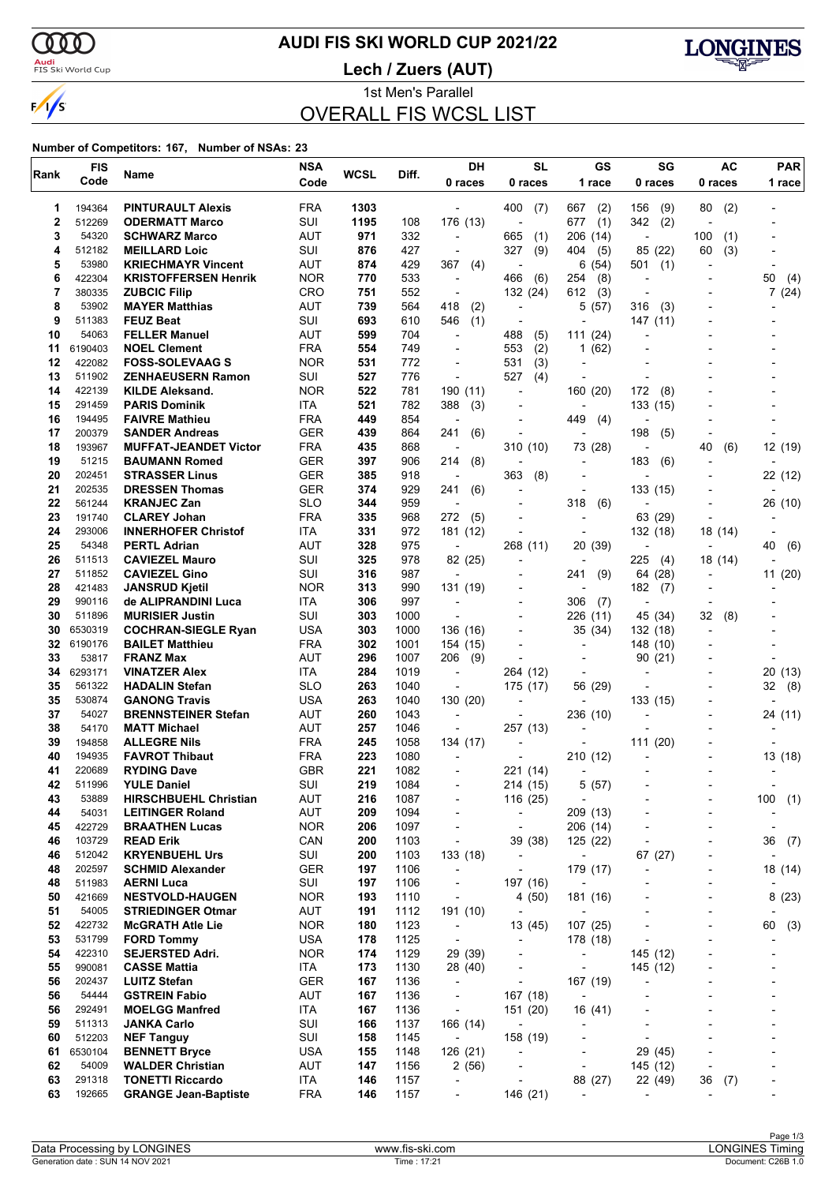$\sqrt{s}$ 

# **AUDI FIS SKI WORLD CUP 2021/22**

<mark>Audi</mark><br>FIS Ski World Cup

**Lech / Zuers (AUT)**



1st Men's Parallel OVERALL FIS WCSL LIST

#### **Number of Competitors: 167, Number of NSAs: 23**

| <b>FIS</b><br>Rank<br>Name |                  |                                                    | <b>NSA</b>               | <b>WCSL</b> | Diff.        | <b>DH</b>                            | <b>SL</b>                                            | GS                                     | SG                              | <b>AC</b>                                            | <b>PAR</b>               |  |
|----------------------------|------------------|----------------------------------------------------|--------------------------|-------------|--------------|--------------------------------------|------------------------------------------------------|----------------------------------------|---------------------------------|------------------------------------------------------|--------------------------|--|
|                            | Code             |                                                    | Code                     |             |              | 0 races                              | 0 races                                              | 1 race                                 | 0 races                         | 0 races                                              | 1 race                   |  |
| 1                          | 194364           | <b>PINTURAULT Alexis</b>                           | <b>FRA</b>               | 1303        |              |                                      | 400<br>(7)                                           | 667<br>(2)                             | 156<br>(9)                      | 80<br>(2)                                            |                          |  |
| $\mathbf 2$                | 512269           | <b>ODERMATT Marco</b>                              | SUI                      | 1195        | 108          | 176 (13)                             | $\overline{a}$                                       | (1)<br>677                             | 342<br>(2)                      |                                                      |                          |  |
| 3                          | 54320            | <b>SCHWARZ Marco</b>                               | AUT                      | 971         | 332          | $\overline{\phantom{a}}$             | 665<br>(1)                                           | 206<br>(14)                            | $\overline{a}$                  | (1)<br>100                                           |                          |  |
| 4                          | 512182           | <b>MEILLARD Loic</b>                               | SUI                      | 876         | 427          | $\overline{\phantom{a}}$             | 327<br>(9)                                           | 404<br>(5)                             | 85 (22)                         | (3)<br>60                                            |                          |  |
| 5                          | 53980            | <b>KRIECHMAYR Vincent</b>                          | <b>AUT</b>               | 874         | 429          | 367<br>(4)                           | $\overline{\phantom{a}}$                             | 6<br>(54)                              | 501<br>(1)                      |                                                      |                          |  |
| 6<br>7                     | 422304<br>380335 | <b>KRISTOFFERSEN Henrik</b><br><b>ZUBCIC Filip</b> | <b>NOR</b><br>CRO        | 770<br>751  | 533<br>552   | $\overline{\phantom{a}}$             | 466<br>(6)<br>132 (24)                               | 254<br>(8)<br>612                      | $\overline{a}$                  |                                                      | 50<br>(4)                |  |
| 8                          | 53902            | <b>MAYER Matthias</b>                              | <b>AUT</b>               | 739         | 564          | $\overline{a}$<br>418<br>(2)         | ÷,                                                   | (3)<br>5<br>(57)                       | $\overline{a}$<br>316<br>(3)    |                                                      | 7(24)                    |  |
| 9                          | 511383           | <b>FEUZ Beat</b>                                   | SUI                      | 693         | 610          | (1)<br>546                           | ÷,                                                   |                                        | 147(11)                         |                                                      |                          |  |
| 10                         | 54063            | <b>FELLER Manuel</b>                               | AUT                      | 599         | 704          | $\blacksquare$                       | 488<br>(5)                                           | (24)<br>111                            |                                 |                                                      |                          |  |
| 11                         | 6190403          | <b>NOEL Clement</b>                                | <b>FRA</b>               | 554         | 749          |                                      | 553<br>(2)                                           | (62)<br>1                              |                                 |                                                      |                          |  |
| 12                         | 422082           | <b>FOSS-SOLEVAAG S</b>                             | <b>NOR</b>               | 531         | 772          | $\overline{a}$                       | 531<br>(3)                                           |                                        |                                 |                                                      |                          |  |
| 13                         | 511902           | <b>ZENHAEUSERN Ramon</b>                           | SUI                      | 527         | 776          |                                      | 527<br>(4)                                           |                                        |                                 |                                                      |                          |  |
| 14                         | 422139           | <b>KILDE Aleksand.</b>                             | <b>NOR</b>               | 522         | 781          | 190 (11)                             | ÷,                                                   | 160 (20)                               | 172<br>(8)                      |                                                      |                          |  |
| 15<br>16                   | 291459<br>194495 | <b>PARIS Dominik</b>                               | <b>ITA</b>               | 521<br>449  | 782<br>854   | 388<br>(3)                           | $\overline{a}$                                       |                                        | 133 (15)                        |                                                      |                          |  |
| 17                         | 200379           | <b>FAIVRE Mathieu</b><br><b>SANDER Andreas</b>     | <b>FRA</b><br><b>GER</b> | 439         | 864          | 241<br>(6)                           | $\overline{a}$                                       | 449<br>(4)<br>$\overline{\phantom{a}}$ | 198<br>(5)                      |                                                      |                          |  |
| 18                         | 193967           | <b>MUFFAT-JEANDET Victor</b>                       | <b>FRA</b>               | 435         | 868          | $\overline{\phantom{a}}$             | 310 (10)                                             | 73 (28)                                | $\overline{a}$                  | 40<br>(6)                                            | 12 (19)                  |  |
| 19                         | 51215            | <b>BAUMANN Romed</b>                               | <b>GER</b>               | 397         | 906          | 214<br>(8)                           |                                                      |                                        | 183<br>(6)                      |                                                      |                          |  |
| 20                         | 202451           | <b>STRASSER Linus</b>                              | <b>GER</b>               | 385         | 918          | $\overline{a}$                       | 363<br>(8)                                           | $\overline{\phantom{a}}$               |                                 |                                                      | 22 (12)                  |  |
| 21                         | 202535           | <b>DRESSEN Thomas</b>                              | GER                      | 374         | 929          | 241<br>(6)                           |                                                      | $\blacksquare$                         | 133 (15)                        |                                                      |                          |  |
| 22                         | 561244           | <b>KRANJEC Zan</b>                                 | <b>SLO</b>               | 344         | 959          |                                      |                                                      | 318<br>(6)                             |                                 |                                                      | 26 (10)                  |  |
| 23                         | 191740           | <b>CLAREY Johan</b>                                | <b>FRA</b>               | 335         | 968          | 272<br>(5)                           |                                                      | $\overline{a}$                         | 63 (29)                         |                                                      |                          |  |
| 24                         | 293006           | <b>INNERHOFER Christof</b>                         | ITA                      | 331         | 972          | 181 (12)                             |                                                      |                                        | 132 (18)                        | 18 (14)                                              | $\overline{a}$           |  |
| 25                         | 54348            | <b>PERTL Adrian</b>                                | <b>AUT</b>               | 328         | 975          |                                      | 268 (11)                                             | 20 (39)                                | $\overline{\phantom{a}}$        |                                                      | 40<br>(6)                |  |
| 26                         | 511513           | <b>CAVIEZEL Mauro</b>                              | SUI                      | 325         | 978          | 82 (25)                              | $\overline{a}$                                       |                                        | 225<br>(4)                      | 18 (14)                                              |                          |  |
| 27<br>28                   | 511852<br>421483 | <b>CAVIEZEL Gino</b><br><b>JANSRUD Kjetil</b>      | SUI<br><b>NOR</b>        | 316<br>313  | 987<br>990   | 131 (19)                             | $\overline{a}$                                       | 241<br>(9)                             | 64 (28)<br>182                  |                                                      | 11 (20)                  |  |
| 29                         | 990116           | de ALIPRANDINI Luca                                | ITA                      | 306         | 997          |                                      |                                                      | 306<br>(7)                             | (7)<br>$\overline{\phantom{a}}$ |                                                      |                          |  |
| 30                         | 511896           | <b>MURISIER Justin</b>                             | SUI                      | 303         | 1000         |                                      | $\overline{a}$                                       | 226<br>(11)                            | 45 (34)                         | 32<br>(8)                                            |                          |  |
| 30                         | 6530319          | <b>COCHRAN-SIEGLE Ryan</b>                         | <b>USA</b>               | 303         | 1000         | 136 (16)                             |                                                      | 35 (34)                                | 132 (18)                        |                                                      |                          |  |
| 32                         | 6190176          | <b>BAILET Matthieu</b>                             | <b>FRA</b>               | 302         | 1001         | 154 (15)                             | $\overline{a}$                                       | $\overline{\phantom{a}}$               | 148 (10)                        |                                                      |                          |  |
| 33                         | 53817            | <b>FRANZ Max</b>                                   | AUT                      | 296         | 1007         | 206<br>(9)                           |                                                      | $\blacksquare$                         | 90(21)                          |                                                      |                          |  |
| 34                         | 6293171          | <b>VINATZER Alex</b>                               | ITA                      | 284         | 1019         | $\blacksquare$                       | 264 (12)                                             |                                        |                                 |                                                      | 20 (13)                  |  |
| 35                         | 561322           | <b>HADALIN Stefan</b>                              | <b>SLO</b>               | 263         | 1040         | $\overline{a}$                       | 175 (17)                                             | 56 (29)                                |                                 |                                                      | 32<br>(8)                |  |
| 35                         | 530874           | <b>GANONG Travis</b>                               | <b>USA</b>               | 263         | 1040         | 130 (20)                             | ٠                                                    | $\overline{a}$                         | 133 (15)                        |                                                      |                          |  |
| 37<br>38                   | 54027            | <b>BRENNSTEINER Stefan</b><br><b>MATT Michael</b>  | AUT<br><b>AUT</b>        | 260<br>257  | 1043<br>1046 | $\blacksquare$<br>$\overline{a}$     |                                                      | 236 (10)                               |                                 |                                                      | 24 (11)                  |  |
| 39                         | 54170<br>194858  | <b>ALLEGRE Nils</b>                                | <b>FRA</b>               | 245         | 1058         | 134 (17)                             | 257 (13)                                             |                                        | 111 (20)                        |                                                      |                          |  |
| 40                         | 194935           | <b>FAVROT Thibaut</b>                              | <b>FRA</b>               | 223         | 1080         |                                      |                                                      | 210(12)                                |                                 |                                                      | 13 (18)                  |  |
| 41                         | 220689           | <b>RYDING Dave</b>                                 | <b>GBR</b>               | 221         | 1082         |                                      | 221 (14)                                             | $\overline{\phantom{a}}$               |                                 |                                                      |                          |  |
| 42                         | 511996           | <b>YULE Daniel</b>                                 | SUI                      | 219         | 1084         |                                      | 214 (15)                                             | 5<br>(57)                              |                                 |                                                      |                          |  |
| 43                         | 53889            | <b>HIRSCHBUEHL Christian</b>                       | <b>AUT</b>               | 216         | 1087         |                                      | 116 (25)                                             | $\overline{\phantom{a}}$               |                                 |                                                      | 100<br>(1)               |  |
| 44                         | 54031            | <b>LEITINGER Roland</b>                            | <b>AUT</b>               | 209         | 1094         | $\overline{\phantom{a}}$             | $\overline{\phantom{a}}$                             | 209 (13)                               | $\overline{\phantom{0}}$        | $\overline{\phantom{0}}$                             | $\overline{\phantom{a}}$ |  |
| 45                         | 422729           | <b>BRAATHEN Lucas</b>                              | <b>NOR</b>               | 206         | 1097         | $\overline{\phantom{a}}$             | $\overline{\phantom{a}}$                             | 206 (14)                               | ٠                               | $\overline{\phantom{0}}$                             | $\overline{a}$           |  |
| 46                         | 103729           | <b>READ Erik</b>                                   | CAN                      | 200         | 1103         | $\overline{\phantom{a}}$             | 39 (38)                                              | 125 (22)                               |                                 |                                                      | 36<br>(7)                |  |
| 46<br>48                   | 512042<br>202597 | <b>KRYENBUEHL Urs</b>                              | SUI<br><b>GER</b>        | 200         | 1103         | 133 (18)<br>$\overline{\phantom{a}}$ | $\overline{\phantom{a}}$<br>$\overline{\phantom{0}}$ | $\overline{\phantom{a}}$               | 67 (27)                         | $\overline{\phantom{a}}$<br>$\overline{\phantom{0}}$ | 18 (14)                  |  |
| 48                         | 511983           | <b>SCHMID Alexander</b><br><b>AERNI Luca</b>       | SUI                      | 197<br>197  | 1106<br>1106 | $\overline{\phantom{a}}$             | 197 (16)                                             | 179 (17)<br>$\blacksquare$             |                                 |                                                      |                          |  |
| 50                         | 421669           | <b>NESTVOLD-HAUGEN</b>                             | <b>NOR</b>               | 193         | 1110         | $\overline{\phantom{a}}$             | 4 (50)                                               | 181 (16)                               | -                               | $\blacksquare$                                       | 8(23)                    |  |
| 51                         | 54005            | <b>STRIEDINGER Otmar</b>                           | AUT                      | 191         | 1112         | 191 (10)                             | $\overline{\phantom{a}}$                             | $\overline{a}$                         | -                               | $\overline{a}$                                       |                          |  |
| 52                         | 422732           | <b>McGRATH Atle Lie</b>                            | <b>NOR</b>               | 180         | 1123         | $\overline{\phantom{a}}$             | 13 (45)                                              | 107 (25)                               |                                 |                                                      | 60<br>(3)                |  |
| 53                         | 531799           | <b>FORD Tommy</b>                                  | <b>USA</b>               | 178         | 1125         | $\overline{\phantom{a}}$             | $\overline{\phantom{a}}$                             | 178 (18)                               | $\overline{a}$                  | $\overline{\phantom{a}}$                             |                          |  |
| 54                         | 422310           | <b>SEJERSTED Adri.</b>                             | <b>NOR</b>               | 174         | 1129         | 29 (39)                              | $\overline{\phantom{a}}$                             | $\overline{\phantom{a}}$               | 145 (12)                        | $\overline{\phantom{a}}$                             | $\overline{a}$           |  |
| 55                         | 990081           | <b>CASSE Mattia</b>                                | ITA                      | 173         | 1130         | 28 (40)                              | -                                                    | $\overline{\phantom{a}}$               | 145 (12)                        |                                                      |                          |  |
| 56                         | 202437           | <b>LUITZ Stefan</b>                                | <b>GER</b>               | 167         | 1136         | $\overline{\phantom{a}}$             | $\overline{\phantom{a}}$                             | 167 (19)                               | $\overline{a}$                  |                                                      | -                        |  |
| 56                         | 54444            | <b>GSTREIN Fabio</b>                               | AUT                      | 167         | 1136         | $\overline{\phantom{a}}$             | 167 (18)                                             | $\overline{\phantom{a}}$               |                                 |                                                      |                          |  |
| 56                         | 292491           | <b>MOELGG Manfred</b>                              | ITA                      | 167         | 1136         | $\overline{\phantom{a}}$             | 151 (20)                                             | 16 (41)                                |                                 |                                                      |                          |  |
| 59<br>60                   | 511313<br>512203 | JANKA Carlo                                        | SUI<br>SUI               | 166         | 1137         | 166 (14)<br>$\overline{\phantom{a}}$ | $\overline{\phantom{a}}$                             | ÷,                                     | -<br>$\overline{\phantom{a}}$   | $\overline{\phantom{0}}$                             | -<br>-                   |  |
| 61                         | 6530104          | <b>NEF Tanguy</b><br><b>BENNETT Bryce</b>          | <b>USA</b>               | 158<br>155  | 1145<br>1148 | 126 (21)                             | 158 (19)<br>٠                                        |                                        | 29 (45)                         |                                                      |                          |  |
| 62                         | 54009            | <b>WALDER Christian</b>                            | <b>AUT</b>               | 147         | 1156         | 2(56)                                | $\overline{\phantom{a}}$                             | $\overline{a}$                         | 145 (12)                        | $\overline{\phantom{a}}$                             | $\overline{a}$           |  |
| 63                         | 291318           | <b>TONETTI Riccardo</b>                            | ITA                      | 146         | 1157         | $\overline{\phantom{a}}$             | $\overline{a}$                                       | 88 (27)                                | 22 (49)                         | (7)<br>36                                            | -                        |  |
| 63                         | 192665           | <b>GRANGE Jean-Baptiste</b>                        | <b>FRA</b>               | 146         | 1157         | $\overline{\phantom{a}}$             | 146 (21)                                             |                                        | ÷                               |                                                      |                          |  |
|                            |                  |                                                    |                          |             |              |                                      |                                                      |                                        |                                 |                                                      |                          |  |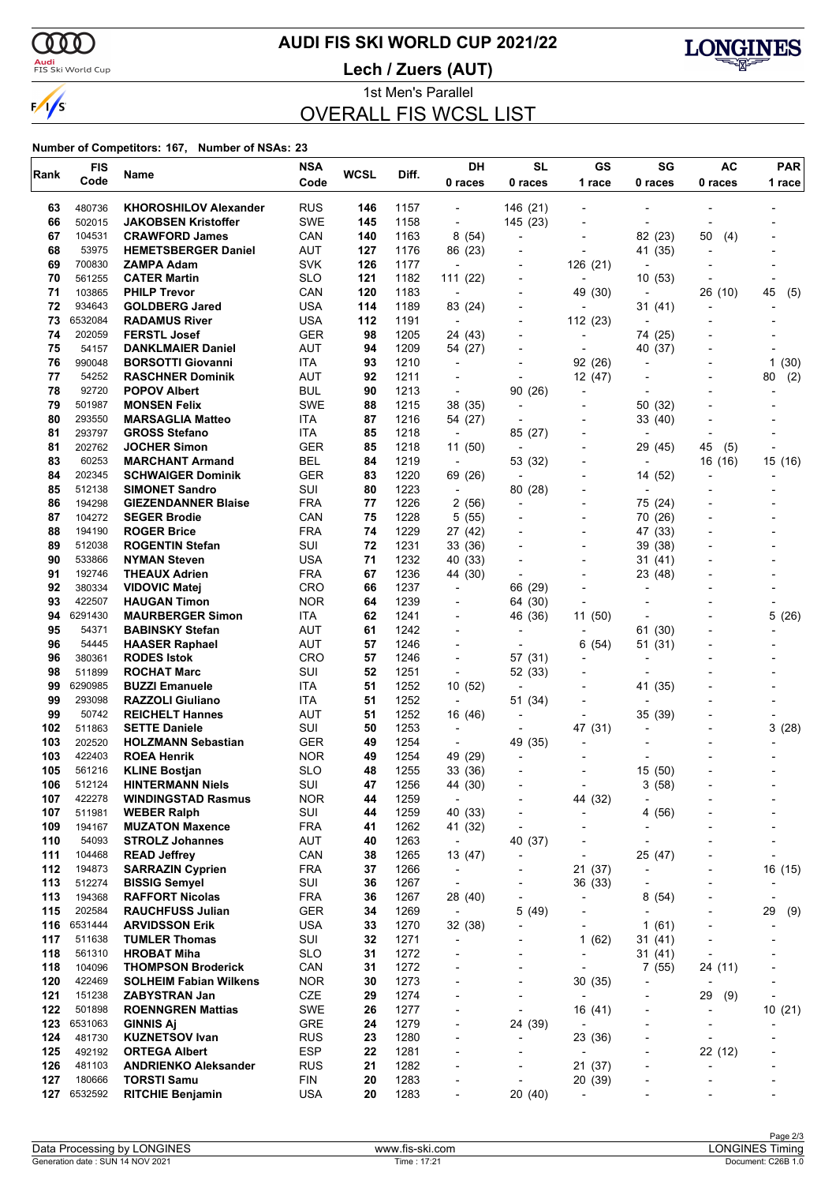$\sqrt{s}$ 

# **AUDI FIS SKI WORLD CUP 2021/22**

<mark>Audi</mark><br>FIS Ski World Cup

**Lech / Zuers (AUT)**



1st Men's Parallel OVERALL FIS WCSL LIST

#### **Number of Competitors: 167, Number of NSAs: 23**

| Rank       | <b>FIS</b>        | Name                                              | <b>NSA</b><br><b>WCSL</b> |          | Diff.        | DH                                  | <b>SL</b>                               | GS                                  | SG                        | AC                       | <b>PAR</b>               |  |
|------------|-------------------|---------------------------------------------------|---------------------------|----------|--------------|-------------------------------------|-----------------------------------------|-------------------------------------|---------------------------|--------------------------|--------------------------|--|
|            | Code              |                                                   | Code                      |          |              | 0 races                             | 0 races                                 | 1 race                              | 0 races                   | 0 races                  | 1 race                   |  |
| 63         | 480736            | <b>KHOROSHILOV Alexander</b>                      | <b>RUS</b>                | 146      | 1157         | $\overline{\phantom{a}}$            | 146 (21)                                |                                     |                           |                          |                          |  |
| 66         | 502015            | <b>JAKOBSEN Kristoffer</b>                        | SWE                       | 145      | 1158         | $\overline{\phantom{a}}$            | 145 (23)                                | ٠                                   | $\overline{\phantom{a}}$  |                          |                          |  |
| 67         | 104531            | <b>CRAWFORD James</b>                             | CAN                       | 140      | 1163         | 8(54)                               | $\overline{\phantom{a}}$                | $\overline{\phantom{0}}$            | 82 (23)                   | 50<br>(4)                |                          |  |
| 68         | 53975             | <b>HEMETSBERGER Daniel</b>                        | AUT                       | 127      | 1176         | 86 (23)                             |                                         | $\overline{\phantom{0}}$            | 41 (35)                   |                          |                          |  |
| 69         | 700830            | ZAMPA Adam                                        | <b>SVK</b>                | 126      | 1177         | $\overline{\phantom{a}}$            | $\overline{a}$                          | 126 (21)                            | $\overline{a}$            |                          |                          |  |
| 70         | 561255            | <b>CATER Martin</b>                               | <b>SLO</b>                | 121      | 1182         | 111(22)                             |                                         | $\overline{\phantom{a}}$            | 10(53)                    |                          | $\overline{\phantom{a}}$ |  |
| 71         | 103865            | <b>PHILP Trevor</b>                               | CAN                       | 120      | 1183         | $\overline{\phantom{a}}$            |                                         | 49 (30)                             | $\overline{\phantom{a}}$  | 26 (10)                  | 45<br>(5)                |  |
| 72         | 934643            | <b>GOLDBERG Jared</b>                             | <b>USA</b>                | 114      | 1189         | 83 (24)                             | $\blacksquare$                          |                                     | 31 (41)                   |                          |                          |  |
| 73         | 6532084           | <b>RADAMUS River</b>                              | USA                       | 112      | 1191         | $\blacksquare$                      | $\overline{\phantom{a}}$                | 112 (23)                            |                           |                          |                          |  |
| 74<br>75   | 202059<br>54157   | <b>FERSTL Josef</b><br><b>DANKLMAIER Daniel</b>   | <b>GER</b><br>AUT         | 98<br>94 | 1205         | 24 (43)                             |                                         | $\overline{\phantom{0}}$            | 74 (25)                   |                          |                          |  |
| 76         | 990048            | <b>BORSOTTI Giovanni</b>                          | ITA                       | 93       | 1209<br>1210 | 54 (27)<br>$\overline{\phantom{a}}$ | $\overline{\phantom{0}}$                | 92 (26)                             | 40 (37)<br>$\overline{a}$ |                          | 1(30)                    |  |
| 77         | 54252             | <b>RASCHNER Dominik</b>                           | AUT                       | 92       | 1211         |                                     |                                         | 12 (47)                             |                           |                          | (2)<br>80                |  |
| 78         | 92720             | <b>POPOV Albert</b>                               | <b>BUL</b>                | 90       | 1213         | $\overline{\phantom{a}}$            | 90 (26)                                 | $\overline{\phantom{0}}$            | $\overline{\phantom{a}}$  |                          |                          |  |
| 79         | 501987            | <b>MONSEN Felix</b>                               | <b>SWE</b>                | 88       | 1215         | 38 (35)                             | $\overline{\phantom{a}}$                | $\overline{\phantom{a}}$            | 50 (32)                   |                          |                          |  |
| 80         | 293550            | <b>MARSAGLIA Matteo</b>                           | ITA                       | 87       | 1216         | 54 (27)                             |                                         |                                     | 33 (40)                   |                          |                          |  |
| 81         | 293797            | <b>GROSS Stefano</b>                              | <b>ITA</b>                | 85       | 1218         | $\overline{\phantom{a}}$            | 85 (27)                                 | $\overline{\phantom{a}}$            | $\overline{\phantom{a}}$  |                          |                          |  |
| 81         | 202762            | <b>JOCHER Simon</b>                               | <b>GER</b>                | 85       | 1218         | 11(50)                              | $\overline{\phantom{a}}$                | $\overline{\phantom{a}}$            | 29 (45)                   | 45<br>(5)                |                          |  |
| 83         | 60253             | <b>MARCHANT Armand</b>                            | <b>BEL</b>                | 84       | 1219         | $\overline{\phantom{a}}$            | 53 (32)                                 |                                     | $\overline{\phantom{a}}$  | 16 (16)                  | 15 (16)                  |  |
| 84         | 202345            | <b>SCHWAIGER Dominik</b>                          | <b>GER</b>                | 83       | 1220         | 69 (26)                             | $\overline{\phantom{a}}$                |                                     | 14 (52)                   |                          |                          |  |
| 85         | 512138            | <b>SIMONET Sandro</b>                             | SUI                       | 80       | 1223         | $\overline{\phantom{a}}$            | 80 (28)                                 | $\overline{\phantom{a}}$            |                           |                          |                          |  |
| 86         | 194298            | <b>GIEZENDANNER Blaise</b>                        | <b>FRA</b>                | 77       | 1226         | 2(56)                               | $\overline{a}$                          |                                     | 75 (24)                   |                          |                          |  |
| 87         | 104272            | <b>SEGER Brodie</b>                               | CAN                       | 75       | 1228         | 5(55)                               |                                         | $\overline{\phantom{a}}$            | 70 (26)                   |                          |                          |  |
| 88<br>89   | 194190<br>512038  | <b>ROGER Brice</b><br><b>ROGENTIN Stefan</b>      | <b>FRA</b><br>SUI         | 74<br>72 | 1229<br>1231 | 27 (42)<br>33 (36)                  |                                         | $\overline{\phantom{a}}$            | 47 (33)<br>39 (38)        |                          |                          |  |
| 90         | 533866            | <b>NYMAN Steven</b>                               | <b>USA</b>                | 71       | 1232         | 40 (33)                             | $\overline{\phantom{a}}$                | $\overline{\phantom{0}}$            | 31(41)                    |                          |                          |  |
| 91         | 192746            | <b>THEAUX Adrien</b>                              | <b>FRA</b>                | 67       | 1236         | 44 (30)                             | $\overline{\phantom{a}}$                | $\blacksquare$                      | 23 (48)                   |                          |                          |  |
| 92         | 380334            | <b>VIDOVIC Matej</b>                              | <b>CRO</b>                | 66       | 1237         | $\overline{\phantom{a}}$            | 66 (29)                                 |                                     | $\overline{\phantom{a}}$  |                          |                          |  |
| 93         | 422507            | <b>HAUGAN Timon</b>                               | <b>NOR</b>                | 64       | 1239         | $\overline{\phantom{a}}$            | 64 (30)                                 | $\overline{\phantom{a}}$            | $\overline{\phantom{a}}$  |                          |                          |  |
| 94         | 6291430           | <b>MAURBERGER Simon</b>                           | ITA                       | 62       | 1241         | $\overline{\phantom{a}}$            | 46 (36)                                 | 11 (50)                             |                           |                          | 5<br>(26)                |  |
| 95         | 54371             | <b>BABINSKY Stefan</b>                            | <b>AUT</b>                | 61       | 1242         |                                     |                                         |                                     | 61 (30)                   |                          |                          |  |
| 96         | 54445             | <b>HAASER Raphael</b>                             | <b>AUT</b>                | 57       | 1246         |                                     | Ĭ.                                      | 6(54)                               | 51 (31)                   |                          |                          |  |
| 96         | 380361            | <b>RODES Istok</b>                                | <b>CRO</b>                | 57       | 1246         | $\overline{\phantom{a}}$            | 57 (31)                                 |                                     |                           |                          |                          |  |
| 98         | 511899            | <b>ROCHAT Marc</b>                                | SUI                       | 52       | 1251         | $\overline{\phantom{a}}$            | 52 (33)                                 |                                     |                           |                          |                          |  |
| 99         | 6290985           | <b>BUZZI Emanuele</b>                             | ITA                       | 51       | 1252         | 10 (52)                             | $\overline{\phantom{a}}$                |                                     | 41 (35)                   |                          |                          |  |
| 99         | 293098            | <b>RAZZOLI Giuliano</b>                           | ITA                       | 51       | 1252         | $\overline{\phantom{a}}$            | 51 (34)                                 | $\overline{a}$                      | $\overline{\phantom{a}}$  |                          |                          |  |
| 99<br>102  | 50742<br>511863   | <b>REICHELT Hannes</b><br><b>SETTE Daniele</b>    | <b>AUT</b><br>SUI         | 51<br>50 | 1252<br>1253 | 16 (46)<br>$\overline{\phantom{a}}$ | $\blacksquare$<br>$\overline{a}$        | 47 (31)                             | 35 (39)<br>$\overline{a}$ |                          | 3(28)                    |  |
| 103        | 202520            | <b>HOLZMANN Sebastian</b>                         | <b>GER</b>                | 49       | 1254         | $\overline{\phantom{a}}$            | 49 (35)                                 | -                                   |                           |                          |                          |  |
| 103        | 422403            | <b>ROEA Henrik</b>                                | <b>NOR</b>                | 49       | 1254         | 49 (29)                             | $\overline{\phantom{a}}$                |                                     |                           |                          |                          |  |
| 105        | 561216            | <b>KLINE Bostjan</b>                              | <b>SLO</b>                | 48       | 1255         | 33 (36)                             |                                         | $\overline{\phantom{0}}$            | 15 (50)                   |                          |                          |  |
| 106        | 512124            | <b>HINTERMANN Niels</b>                           | SUI                       | 47       | 1256         | 44 (30)                             | $\overline{\phantom{a}}$                | $\overline{\phantom{a}}$            | 3(58)                     |                          |                          |  |
| 107        | 422278            | <b>WINDINGSTAD Rasmus</b>                         | <b>NOR</b>                | 44       | 1259         | $\blacksquare$                      |                                         | 44 (32)                             | $\overline{\phantom{a}}$  |                          |                          |  |
| 107        | 511981            | <b>WEBER Ralph</b>                                | SUI                       | 44       | 1259         | 40 (33)                             |                                         | $\overline{\phantom{0}}$            | 4(56)                     |                          |                          |  |
| 109        | 194167            | <b>MUZATON Maxence</b>                            | FRA                       | 41       | 1262         | 41 (32)                             | $\overline{a}$                          | $\qquad \qquad \blacksquare$        | -                         |                          |                          |  |
| 110        | 54093             | <b>STROLZ Johannes</b>                            | <b>AUT</b>                | 40       | 1263         | $\blacksquare$                      | 40 (37)                                 |                                     | $\overline{\phantom{a}}$  |                          |                          |  |
| 111        | 104468            | <b>READ Jeffrey</b>                               | CAN                       | 38       | 1265         | 13 (47)                             | ٠                                       | $\overline{\phantom{0}}$            | 25 (47)                   |                          |                          |  |
| 112        | 194873            | <b>SARRAZIN Cyprien</b>                           | <b>FRA</b>                | 37       | 1266         | $\overline{\phantom{a}}$            | -                                       | 21 (37)                             |                           |                          | 16 (15)                  |  |
| 113        | 512274            | <b>BISSIG Semyel</b>                              | SUI                       | 36       | 1267         | $\overline{\phantom{a}}$            |                                         | 36 (33)                             |                           |                          |                          |  |
| 113<br>115 | 194368<br>202584  | <b>RAFFORT Nicolas</b><br><b>RAUCHFUSS Julian</b> | <b>FRA</b><br>GER         | 36<br>34 | 1267<br>1269 | 28 (40)<br>$\overline{\phantom{a}}$ | ٠<br>5(49)                              | -<br>$\qquad \qquad \blacksquare$   | 8(54)<br>٠                |                          | 29<br>(9)                |  |
| 116        | 6531444           | <b>ARVIDSSON Erik</b>                             | <b>USA</b>                | 33       | 1270         | 32 (38)                             |                                         | $\overline{\phantom{a}}$            | 1(61)                     |                          |                          |  |
| 117        | 511638            | <b>TUMLER Thomas</b>                              | SUI                       | 32       | 1271         | $\overline{\phantom{a}}$            |                                         | 1(62)                               | 31 (41)                   |                          |                          |  |
| 118        | 561310            | <b>HROBAT Miha</b>                                | SLO                       | 31       | 1272         | $\blacksquare$                      | $\overline{a}$                          |                                     | 31(41)                    |                          |                          |  |
| 118        | 104096            | <b>THOMPSON Broderick</b>                         | CAN                       | 31       | 1272         | $\overline{\phantom{0}}$            | $\overline{a}$                          | $\blacksquare$                      | 7(55)                     | 24 (11)                  |                          |  |
| 120        | 422469            | <b>SOLHEIM Fabian Wilkens</b>                     | <b>NOR</b>                | 30       | 1273         | $\overline{\phantom{0}}$            | ٠                                       | 30 (35)                             | ٠                         |                          |                          |  |
| 121        | 151238            | <b>ZABYSTRAN Jan</b>                              | CZE                       | 29       | 1274         |                                     | -                                       | -                                   | ۰                         | 29<br>(9)                | $\overline{a}$           |  |
| 122        | 501898            | <b>ROENNGREN Mattias</b>                          | SWE                       | 26       | 1277         | $\overline{\phantom{a}}$            |                                         | 16 (41)                             | -                         | $\overline{\phantom{a}}$ | 10(21)                   |  |
| 123        | 6531063           | <b>GINNIS Aj</b>                                  | <b>GRE</b>                | 24       | 1279         | $\overline{\phantom{0}}$            | 24 (39)                                 |                                     | -                         | $\overline{\phantom{a}}$ |                          |  |
| 124        | 481730            | <b>KUZNETSOV Ivan</b>                             | <b>RUS</b>                | 23       | 1280         | $\overline{\phantom{a}}$            | $\overline{a}$                          | 23 (36)                             | -                         |                          |                          |  |
| 125        | 492192            | <b>ORTEGA Albert</b>                              | <b>ESP</b>                | 22       | 1281         | $\overline{\phantom{0}}$            |                                         |                                     | $\overline{\phantom{0}}$  | 22 (12)                  |                          |  |
| 126        | 481103            | <b>ANDRIENKO Aleksander</b>                       | <b>RUS</b>                | 21       | 1282         | $\overline{\phantom{0}}$            |                                         | 21 (37)                             | ٠                         |                          | -                        |  |
| 127<br>127 | 180666<br>6532592 | <b>TORSTI Samu</b>                                | <b>FIN</b>                | 20       | 1283<br>1283 | $\overline{a}$<br>٠                 | $\qquad \qquad \blacksquare$<br>20 (40) | 20 (39)<br>$\overline{\phantom{0}}$ |                           |                          |                          |  |
|            |                   | <b>RITCHIE Benjamin</b>                           | <b>USA</b>                | 20       |              |                                     |                                         |                                     |                           |                          |                          |  |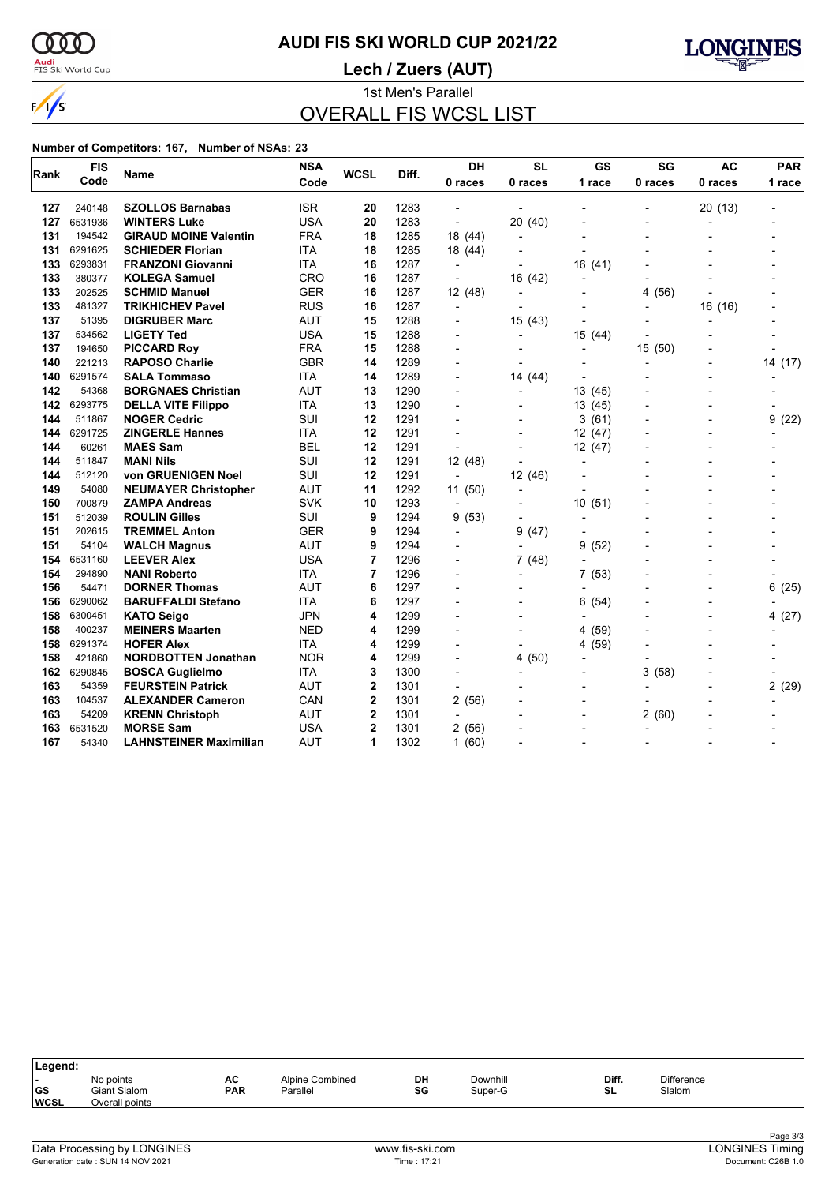$\sqrt{s}$ 

# **AUDI FIS SKI WORLD CUP 2021/22**

<mark>Audi</mark><br>FIS Ski World Cup

**Lech / Zuers (AUT)**



1st Men's Parallel OVERALL FIS WCSL LIST

#### **Number of Competitors: 167, Number of NSAs: 23**

| Rank | <b>FIS</b> | Name                          | <b>NSA</b> | <b>WCSL</b>    | Diff. | <b>DH</b>                | <b>SL</b>                | GS             | SG        | <b>AC</b>                | <b>PAR</b> |  |
|------|------------|-------------------------------|------------|----------------|-------|--------------------------|--------------------------|----------------|-----------|--------------------------|------------|--|
|      | Code       |                               | Code       |                |       | 0 races                  | 0 races                  | 1 race         | 0 races   | 0 races                  | 1 race     |  |
| 127  | 240148     | <b>SZOLLOS Barnabas</b>       | <b>ISR</b> | 20             | 1283  |                          |                          |                |           | 20 (13)                  |            |  |
| 127  | 6531936    | <b>WINTERS Luke</b>           | <b>USA</b> | 20             | 1283  | ÷,                       | 20 (40)                  |                |           | $\blacksquare$           |            |  |
| 131  | 194542     | <b>GIRAUD MOINE Valentin</b>  | <b>FRA</b> | 18             | 1285  | 18 (44)                  |                          |                |           |                          |            |  |
| 131  | 6291625    | <b>SCHIEDER Florian</b>       | <b>ITA</b> | 18             | 1285  | 18 (44)                  |                          | $\overline{a}$ |           |                          |            |  |
| 133  | 6293831    | <b>FRANZONI Giovanni</b>      | ITA        | 16             | 1287  |                          |                          | 16(41)         |           |                          |            |  |
| 133  | 380377     | <b>KOLEGA Samuel</b>          | <b>CRO</b> | 16             | 1287  |                          | 16 (42)                  |                |           |                          |            |  |
| 133  | 202525     | <b>SCHMID Manuel</b>          | <b>GER</b> | 16             | 1287  | 12 (48)                  |                          |                | (56)<br>4 |                          |            |  |
| 133  | 481327     | <b>TRIKHICHEV Pavel</b>       | <b>RUS</b> | 16             | 1287  | $\overline{\phantom{a}}$ |                          |                |           | 16 (16)                  |            |  |
| 137  | 51395      | <b>DIGRUBER Marc</b>          | <b>AUT</b> | 15             | 1288  | $\overline{\phantom{0}}$ | 15(43)                   |                |           | $\overline{a}$           |            |  |
| 137  | 534562     | <b>LIGETY Ted</b>             | <b>USA</b> | 15             | 1288  |                          |                          | 15 (44)        |           |                          |            |  |
| 137  | 194650     | <b>PICCARD Roy</b>            | <b>FRA</b> | 15             | 1288  |                          |                          | $\overline{a}$ | 15(50)    |                          |            |  |
| 140  | 221213     | <b>RAPOSO Charlie</b>         | <b>GBR</b> | 14             | 1289  |                          |                          |                |           |                          | 14 (17)    |  |
| 140  | 6291574    | <b>SALA Tommaso</b>           | <b>ITA</b> | 14             | 1289  |                          | 14 (44)                  |                |           |                          |            |  |
| 142  | 54368      | <b>BORGNAES Christian</b>     | <b>AUT</b> | 13             | 1290  |                          |                          | 13 (45)        |           |                          |            |  |
| 142  | 6293775    | <b>DELLA VITE Filippo</b>     | <b>ITA</b> | 13             | 1290  |                          |                          | 13 (45)        |           |                          |            |  |
| 144  | 511867     | <b>NOGER Cedric</b>           | SUI        | 12             | 1291  |                          |                          | 3(61)          |           | $\blacksquare$           | 9(22)      |  |
| 144  | 6291725    | <b>ZINGERLE Hannes</b>        | <b>ITA</b> | 12             | 1291  |                          |                          | 12 (47)        |           |                          |            |  |
| 144  | 60261      | <b>MAES Sam</b>               | BEL        | 12             | 1291  | $\overline{\phantom{a}}$ |                          | 12 (47)        |           |                          |            |  |
| 144  | 511847     | <b>MANI Nils</b>              | SUI        | 12             | 1291  | 12 (48)                  |                          | $\blacksquare$ |           |                          |            |  |
| 144  | 512120     | von GRUENIGEN Noel            | SUI        | 12             | 1291  | $\overline{\phantom{a}}$ | 12 (46)                  |                |           |                          |            |  |
| 149  | 54080      | <b>NEUMAYER Christopher</b>   | <b>AUT</b> | 11             | 1292  | 11(50)                   |                          |                |           |                          |            |  |
| 150  | 700879     | <b>ZAMPA Andreas</b>          | <b>SVK</b> | 10             | 1293  | $\overline{a}$           |                          | 10<br>(51)     |           |                          |            |  |
| 151  | 512039     | <b>ROULIN Gilles</b>          | SUI        | 9              | 1294  | 9(53)                    | $\overline{\phantom{a}}$ |                |           |                          |            |  |
| 151  | 202615     | <b>TREMMEL Anton</b>          | <b>GER</b> | 9              | 1294  | $\overline{a}$           | 9<br>(47)                |                |           |                          |            |  |
| 151  | 54104      | <b>WALCH Magnus</b>           | <b>AUT</b> | 9              | 1294  |                          |                          | 9<br>(52)      |           |                          |            |  |
| 154  | 6531160    | <b>LEEVER Alex</b>            | <b>USA</b> | 7              | 1296  |                          | 7(48)                    |                |           |                          |            |  |
| 154  | 294890     | <b>NANI Roberto</b>           | <b>ITA</b> | 7              | 1296  |                          |                          | 7(53)          |           |                          |            |  |
| 156  | 54471      | <b>DORNER Thomas</b>          | <b>AUT</b> | 6              | 1297  |                          |                          | $\blacksquare$ |           | $\overline{\phantom{0}}$ | 6<br>(25)  |  |
| 156  | 6290062    | <b>BARUFFALDI Stefano</b>     | <b>ITA</b> | 6              | 1297  |                          |                          | 6<br>(54)      |           |                          |            |  |
| 158  | 6300451    | <b>KATO Seigo</b>             | <b>JPN</b> | 4              | 1299  |                          |                          |                |           | $\overline{\phantom{a}}$ | 4(27)      |  |
| 158  | 400237     | <b>MEINERS Maarten</b>        | <b>NED</b> | 4              | 1299  |                          |                          | (59)<br>4      |           | $\overline{a}$           |            |  |
| 158  | 6291374    | <b>HOFER Alex</b>             | <b>ITA</b> | 4              | 1299  |                          |                          | 4 (59)         |           | $\overline{a}$           |            |  |
| 158  | 421860     | <b>NORDBOTTEN Jonathan</b>    | <b>NOR</b> | 4              | 1299  |                          | 4(50)                    |                |           |                          |            |  |
| 162  | 6290845    | <b>BOSCA Guglielmo</b>        | <b>ITA</b> | 3              | 1300  |                          |                          |                | 3<br>(58) |                          |            |  |
| 163  | 54359      | <b>FEURSTEIN Patrick</b>      | <b>AUT</b> | $\mathbf 2$    | 1301  |                          |                          |                |           |                          | 2(29)      |  |
| 163  | 104537     | <b>ALEXANDER Cameron</b>      | CAN        | $\mathbf 2$    | 1301  | 2(56)                    |                          |                |           |                          |            |  |
| 163  | 54209      | <b>KRENN Christoph</b>        | <b>AUT</b> | 2              | 1301  | $\overline{\phantom{a}}$ |                          |                | 2<br>(60) |                          |            |  |
| 163  | 6531520    | <b>MORSE Sam</b>              | <b>USA</b> | $\overline{2}$ | 1301  | 2(56)                    |                          |                |           |                          |            |  |
| 167  | 54340      | <b>LAHNSTEINER Maximilian</b> | <b>AUT</b> | 1              | 1302  | 1(60)                    |                          |                |           |                          |            |  |

| Legend:                                        |                                             |                  |                             |          |                     |             |                             |  |
|------------------------------------------------|---------------------------------------------|------------------|-----------------------------|----------|---------------------|-------------|-----------------------------|--|
| $\overline{\phantom{0}}$<br> GS<br><b>WCSL</b> | No points<br>Giant Slalom<br>Overall points | AC<br><b>PAR</b> | Alpine Combined<br>Parallel | DH<br>SG | Downhill<br>Super-G | Diff.<br>SL | <b>Difference</b><br>Slalom |  |
|                                                |                                             |                  |                             |          |                     |             |                             |  |

| Data<br>ONGINES<br>. Jre<br><b>CACCIDO</b><br>nv<br>100855. | <br>∙skı.com | ")NC<br>ımınd<br>.      |
|-------------------------------------------------------------|--------------|-------------------------|
| 2021<br>Generation date<br><b>14 NOV</b><br>SUM             | lime         | Documer<br>C26B<br>ن. ا |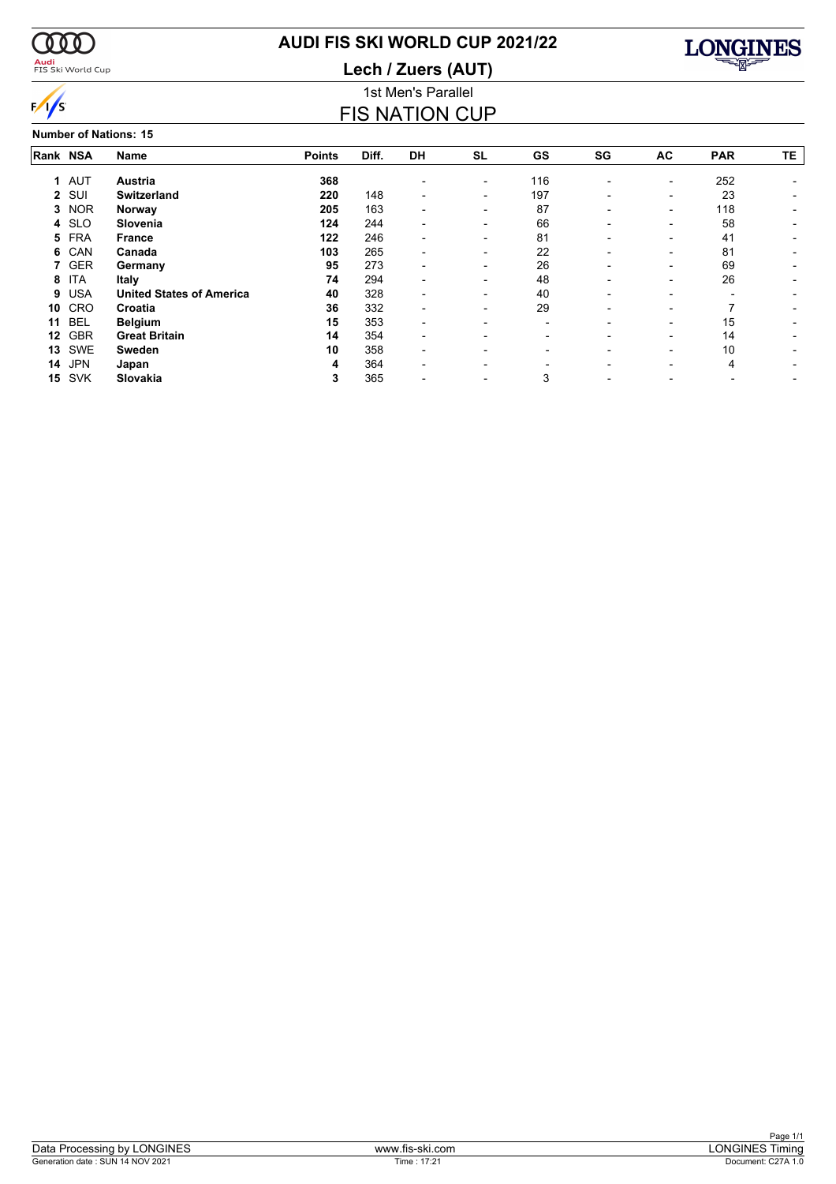

# **AUDI FIS SKI WORLD CUP 2021/22**

**Lech / Zuers (AUT)**



### 1st Men's Parallel FIS NATION CUP

**Number of Nations: 15**

| Rank NSA |            | <b>Name</b>                     | <b>Points</b> | Diff. | <b>DH</b>                | <b>SL</b>                | GS                       | SG                       | AC                       | <b>PAR</b> | TE |
|----------|------------|---------------------------------|---------------|-------|--------------------------|--------------------------|--------------------------|--------------------------|--------------------------|------------|----|
|          | 1 AUT      | Austria                         | 368           |       |                          | $\overline{\phantom{a}}$ | 116                      | $\overline{\phantom{0}}$ | $\overline{\phantom{a}}$ | 252        |    |
|          | 2 SUI      | <b>Switzerland</b>              | 220           | 148   |                          | -                        | 197                      |                          | $\overline{\phantom{0}}$ | 23         |    |
| 3        | <b>NOR</b> | Norway                          | 205           | 163   |                          | $\overline{\phantom{0}}$ | 87                       |                          | $\overline{\phantom{0}}$ | 118        |    |
|          | 4 SLO      | Slovenia                        | 124           | 244   |                          |                          | 66                       |                          |                          | 58         |    |
|          | 5 FRA      | <b>France</b>                   | 122           | 246   | $\overline{\phantom{a}}$ | $\overline{\phantom{0}}$ | 81                       |                          | $\overline{\phantom{0}}$ | 41         |    |
| 6        | CAN        | Canada                          | 103           | 265   | $\overline{\phantom{a}}$ | $\overline{\phantom{a}}$ | 22                       | $\overline{\phantom{0}}$ | $\overline{\phantom{0}}$ | 81         |    |
|          | <b>GER</b> | Germany                         | 95            | 273   | $\overline{\phantom{a}}$ | $\overline{\phantom{a}}$ | 26                       | $\blacksquare$           | $\overline{\phantom{a}}$ | 69         |    |
| 8        | <b>ITA</b> | Italy                           | 74            | 294   | $\overline{\phantom{0}}$ | $\overline{\phantom{0}}$ | 48                       | $\blacksquare$           | $\overline{\phantom{a}}$ | 26         |    |
| 9        | <b>USA</b> | <b>United States of America</b> | 40            | 328   | $\overline{\phantom{0}}$ | $\overline{\phantom{0}}$ | 40                       |                          | $\overline{\phantom{0}}$ |            |    |
| 10       | CRO        | Croatia                         | 36            | 332   | $\overline{\phantom{0}}$ | $\overline{\phantom{a}}$ | 29                       | -                        | $\overline{\phantom{0}}$ |            |    |
| 11       | <b>BEL</b> | <b>Belgium</b>                  | 15            | 353   |                          |                          | $\overline{\phantom{0}}$ |                          | $\overline{\phantom{0}}$ | 15         |    |
| 12       | <b>GBR</b> | <b>Great Britain</b>            | 14            | 354   |                          |                          | -                        |                          |                          | 14         |    |
| 13       | SWE        | <b>Sweden</b>                   | 10            | 358   | $\overline{\phantom{a}}$ |                          |                          |                          | -                        | 10         |    |
| 14       | <b>JPN</b> | Japan                           | 4             | 364   | $\overline{\phantom{a}}$ | $\overline{\phantom{0}}$ |                          | $\blacksquare$           | $\overline{\phantom{0}}$ | 4          |    |
| 15       | <b>SVK</b> | Slovakia                        | 3             | 365   |                          |                          | 3                        |                          |                          |            |    |
|          |            |                                 |               |       |                          |                          |                          |                          |                          |            |    |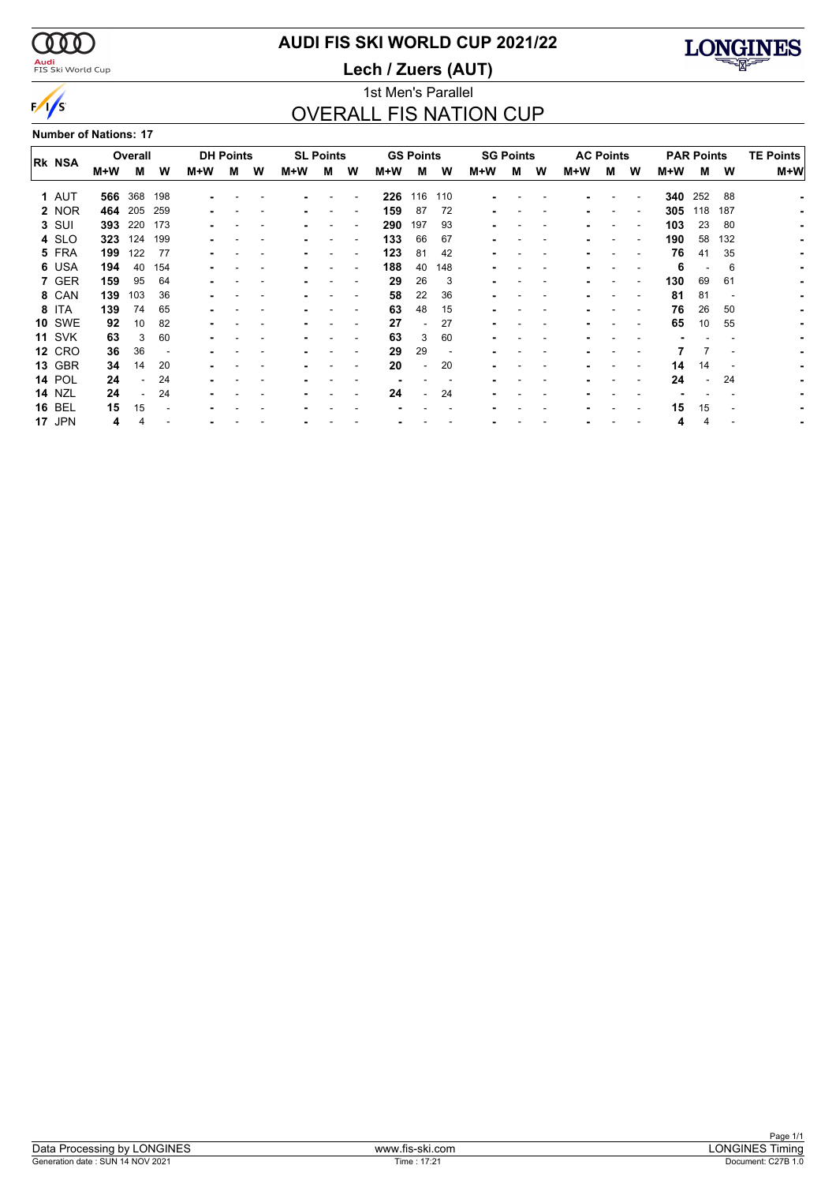$\sqrt{s}$ 

### <mark>Audi</mark><br>FIS Ski World Cup

# **AUDI FIS SKI WORLD CUP 2021/22**

**Lech / Zuers (AUT)**



### 1st Men's Parallel OVERALL FIS NATION CUP

**Number of Nations: 17**

|               |     | Overall | <b>DH Points</b> |     |   |   |     | <b>SL Points</b> |                          |     | <b>GS Points</b>         |     |     | <b>SG Points</b> |   | <b>AC Points</b> |                          |                          |     | <b>PAR Points</b> | <b>TE Points</b>         |       |
|---------------|-----|---------|------------------|-----|---|---|-----|------------------|--------------------------|-----|--------------------------|-----|-----|------------------|---|------------------|--------------------------|--------------------------|-----|-------------------|--------------------------|-------|
| <b>RK NSA</b> | M+W | м       | W                | M+W | м | W | M+W | м                | W                        | M+W | м                        | W   | M+W | м                | w | M+W              | м                        | W                        | M+W | м                 | W                        | $M+W$ |
| 1 AUT         | 566 | 368     | 198              |     |   |   |     |                  |                          | 226 | 116                      | 110 |     |                  |   |                  |                          |                          | 340 | 252               | 88                       |       |
| 2 NOR         | 464 | 205     | 259              | ۰   |   |   |     |                  | $\overline{\phantom{a}}$ | 159 | 87                       | 72  |     |                  |   |                  | $\overline{\phantom{a}}$ | $\overline{\phantom{a}}$ | 305 | 118               | 187                      |       |
| 3 SUI         | 393 | 220     | 173              |     |   |   |     |                  |                          | 290 | 197                      | 93  |     |                  |   |                  |                          |                          | 103 | 23                | 80                       |       |
| 4 SLO         | 323 | 124     | 199              |     |   |   |     |                  |                          | 133 | 66                       | 67  |     |                  |   |                  |                          |                          | 190 | 58                | 132                      |       |
| 5 FRA         | 199 | 122     | -77              |     |   |   |     |                  |                          | 123 | 81                       | 42  |     |                  |   |                  |                          |                          | 76  | 41                | 35                       |       |
| 6 USA         | 194 | 40      | 154              |     |   |   |     |                  |                          | 188 | 40                       | 148 |     |                  |   |                  |                          |                          | 6   |                   | 6                        |       |
| 7 GER         | 159 | 95      | 64               |     |   |   |     |                  | $\blacksquare$           | 29  | 26                       | 3   |     |                  |   |                  |                          | $\overline{\phantom{a}}$ | 130 | 69                | 61                       |       |
| 8 CAN         | 139 | 103     | 36               |     |   |   |     |                  |                          | 58  | 22                       | 36  |     |                  |   |                  |                          |                          | 81  | 81                | $\overline{\phantom{a}}$ |       |
| 8 ITA         | 139 | 74      | 65               |     |   |   |     |                  |                          | 63  | 48                       | 15  |     |                  |   |                  |                          |                          | 76  | 26                | 50                       |       |
| <b>10 SWE</b> | 92  | 10      | 82               |     |   |   |     |                  |                          | 27  | $\overline{\phantom{0}}$ | 27  |     |                  |   |                  |                          |                          | 65  | 10                | 55                       |       |
| <b>11 SVK</b> | 63  | 3       | 60               |     |   |   |     |                  |                          | 63  | 3                        | 60  |     |                  |   |                  |                          |                          |     |                   |                          |       |
| <b>12 CRO</b> | 36  | 36      |                  |     |   |   |     |                  |                          | 29  | 29                       |     |     |                  |   |                  |                          |                          |     |                   |                          |       |
| <b>13 GBR</b> | 34  | 14      | 20               |     |   |   |     |                  | $\blacksquare$           | 20  | $\overline{\phantom{a}}$ | 20  |     |                  |   |                  |                          |                          | 14  | 14                |                          |       |
| <b>14 POL</b> | 24  |         | 24               |     |   |   |     |                  |                          |     |                          |     |     |                  |   |                  |                          |                          | 24  | $\blacksquare$    | 24                       |       |
| <b>14 NZL</b> | 24  |         | 24               |     |   |   |     |                  |                          | 24  |                          | 24  |     |                  |   |                  |                          |                          |     |                   |                          |       |
| <b>16 BEL</b> | 15  | 15      |                  |     |   |   |     |                  |                          |     |                          |     |     |                  |   |                  |                          |                          | 15  | 15                |                          |       |
| 17 JPN        | 4   |         |                  |     |   |   |     |                  |                          |     |                          |     |     |                  |   |                  |                          |                          | 4   | 4                 |                          |       |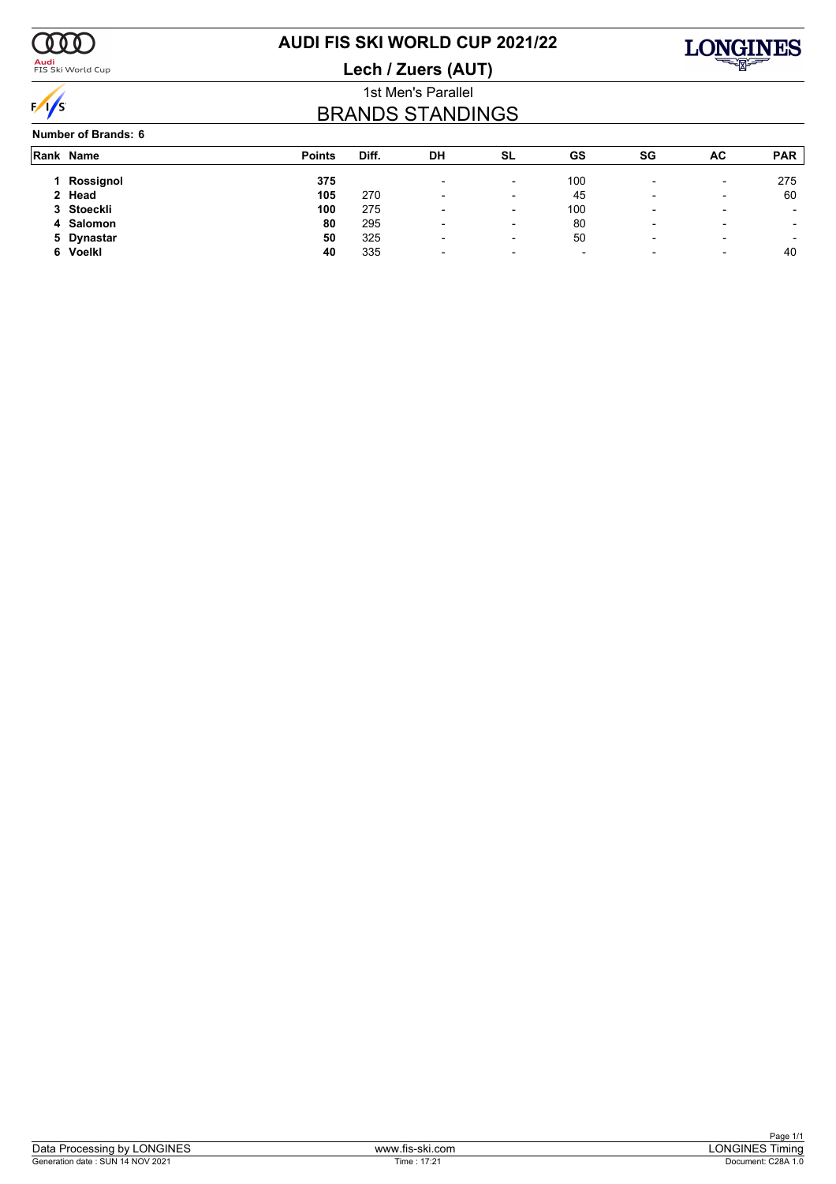

### <mark>Audi</mark><br>FIS Ski World Cup

# **AUDI FIS SKI WORLD CUP 2021/22**

**Lech / Zuers (AUT)**



### 1st Men's Parallel BRANDS STANDINGS

#### **Number of Brands: 6**

|   | Rank Name  | <b>Points</b> | Diff. | DH                       | SL                       | GS                       | SG                       | AC                       | <b>PAR</b>               |
|---|------------|---------------|-------|--------------------------|--------------------------|--------------------------|--------------------------|--------------------------|--------------------------|
|   | Rossignol  | 375           |       | $\overline{\phantom{a}}$ | $\overline{\phantom{a}}$ | 100                      | $\overline{\phantom{0}}$ | $\overline{\phantom{0}}$ | 275                      |
|   | 2 Head     | 105           | 270   | $\overline{\phantom{0}}$ | $\overline{\phantom{0}}$ | 45                       | $\overline{\phantom{0}}$ | $\overline{\phantom{0}}$ | 60                       |
|   | 3 Stoeckli | 100           | 275   | $\overline{\phantom{0}}$ | $\overline{\phantom{0}}$ | 100                      |                          | -                        |                          |
|   | 4 Salomon  | 80            | 295   | -                        | $\overline{\phantom{a}}$ | 80                       | $\overline{\phantom{a}}$ | $\overline{\phantom{0}}$ | $\overline{\phantom{a}}$ |
|   | 5 Dynastar | 50            | 325   | $\overline{\phantom{0}}$ | ٠                        | 50                       | $\overline{\phantom{0}}$ | -                        | $\overline{\phantom{a}}$ |
| 6 | Voelkl     | 40            | 335   | $\overline{\phantom{0}}$ | $\overline{\phantom{0}}$ | $\overline{\phantom{0}}$ | $\overline{\phantom{0}}$ | -                        | 40                       |